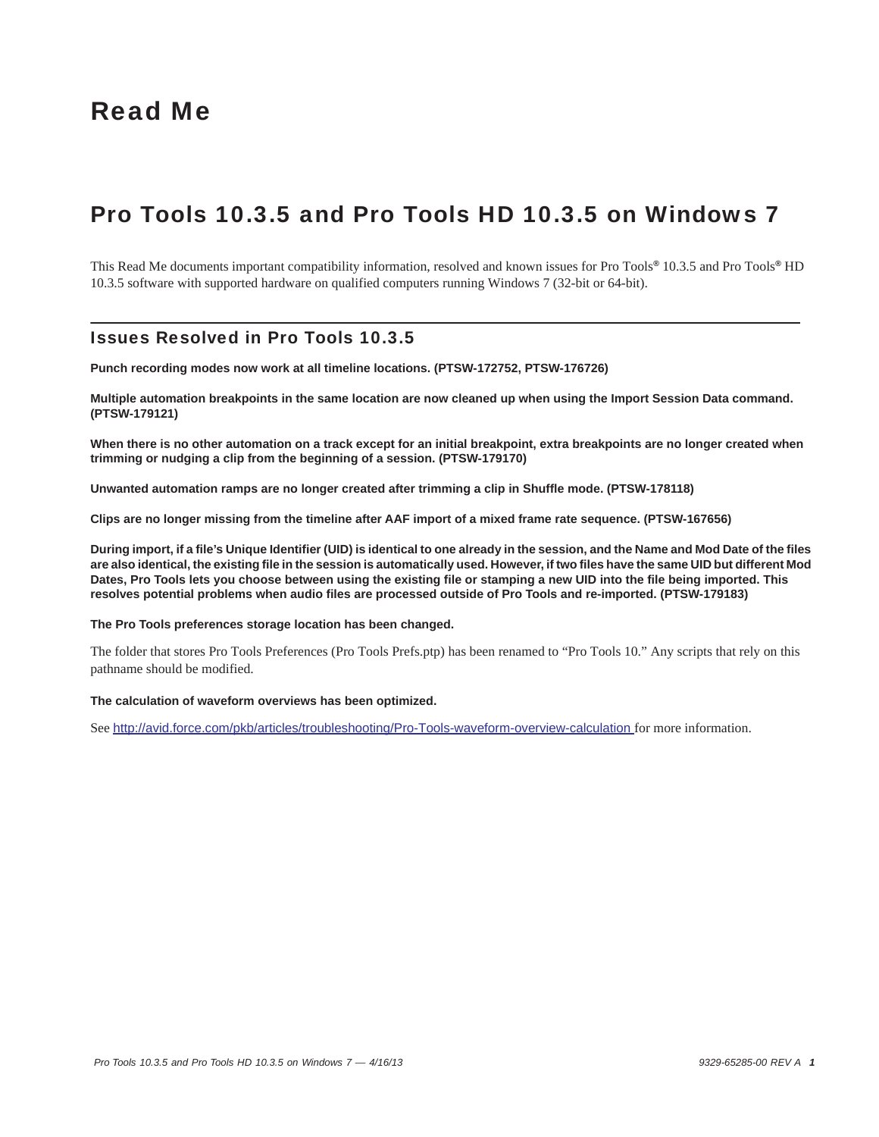# Read Me

# Pro Tools 10.3.5 and Pro Tools HD 10.3.5 on Windows 7

This Read Me documents important compatibility information, resolved and known issues for Pro Tools*®* 10.3.5 and Pro Tools*®* HD 10.3.5 software with supported hardware on qualified computers running Windows 7 (32-bit or 64-bit).

# Issues Resolved in Pro Tools 10.3.5

**Punch recording modes now work at all timeline locations. (PTSW-172752, PTSW-176726)**

**Multiple automation breakpoints in the same location are now cleaned up when using the Import Session Data command. (PTSW-179121)**

**When there is no other automation on a track except for an initial breakpoint, extra breakpoints are no longer created when trimming or nudging a clip from the beginning of a session. (PTSW-179170)**

**Unwanted automation ramps are no longer created after trimming a clip in Shuffle mode. (PTSW-178118)**

**Clips are no longer missing from the timeline after AAF import of a mixed frame rate sequence. (PTSW-167656)**

**During import, if a file's Unique Identifier (UID) is identical to one already in the session, and the Name and Mod Date of the files are also identical, the existing file in the session is automatically used. However, if two files have the same UID but different Mod Dates, Pro Tools lets you choose between using the existing file or stamping a new UID into the file being imported. This resolves potential problems when audio files are processed outside of Pro Tools and re-imported. (PTSW-179183)**

#### **The Pro Tools preferences storage location has been changed.**

The folder that stores Pro Tools Preferences (Pro Tools Prefs.ptp) has been renamed to "Pro Tools 10." Any scripts that rely on this pathname should be modified.

#### **The calculation of waveform overviews has been optimized.**

See <http://avid.force.com/pkb/articles/troubleshooting/Pro-Tools-waveform-overview-calculation>for more information.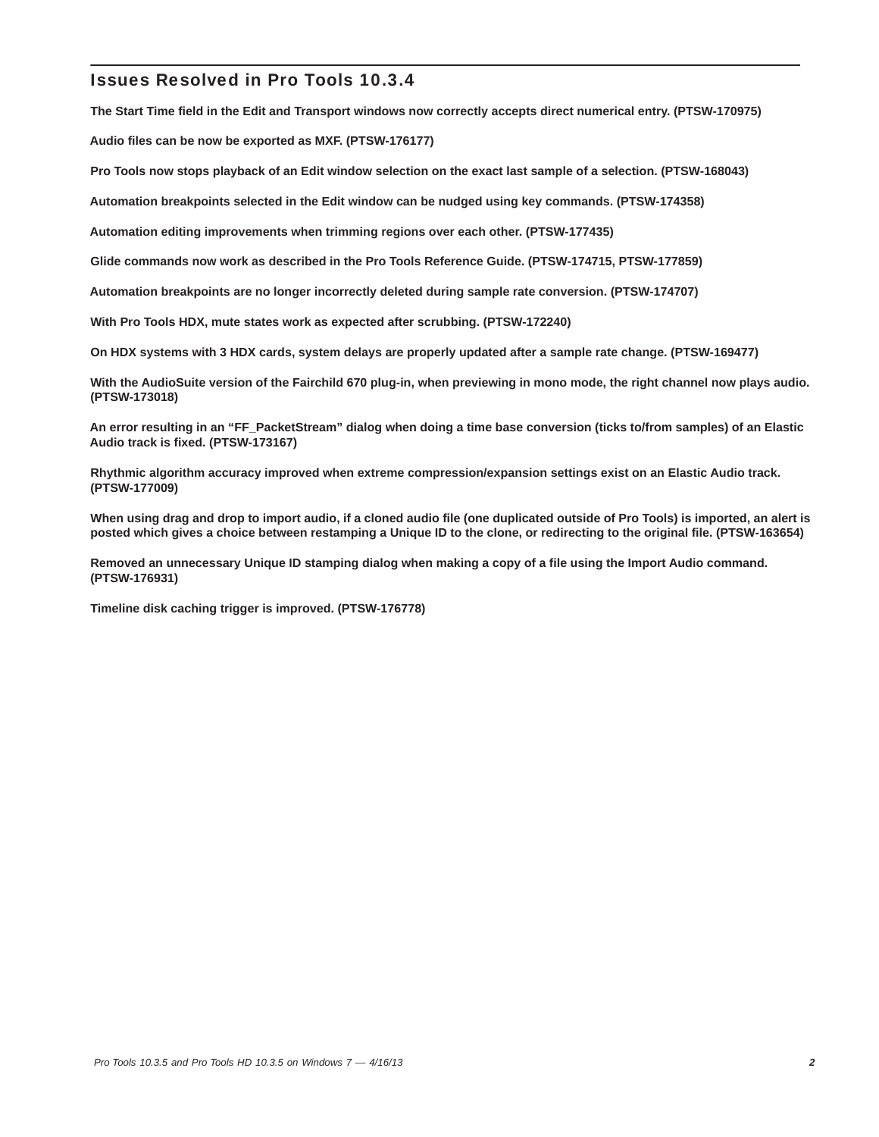# Issues Resolved in Pro Tools 10.3.4

**The Start Time field in the Edit and Transport windows now correctly accepts direct numerical entry. (PTSW-170975)**

**Audio files can be now be exported as MXF. (PTSW-176177)**

**Pro Tools now stops playback of an Edit window selection on the exact last sample of a selection. (PTSW-168043)**

**Automation breakpoints selected in the Edit window can be nudged using key commands. (PTSW-174358)**

**Automation editing improvements when trimming regions over each other. (PTSW-177435)**

**Glide commands now work as described in the Pro Tools Reference Guide. (PTSW-174715, PTSW-177859)**

**Automation breakpoints are no longer incorrectly deleted during sample rate conversion. (PTSW-174707)**

**With Pro Tools HDX, mute states work as expected after scrubbing. (PTSW-172240)**

**On HDX systems with 3 HDX cards, system delays are properly updated after a sample rate change. (PTSW-169477)**

**With the AudioSuite version of the Fairchild 670 plug-in, when previewing in mono mode, the right channel now plays audio. (PTSW-173018)**

**An error resulting in an "FF\_PacketStream" dialog when doing a time base conversion (ticks to/from samples) of an Elastic Audio track is fixed. (PTSW-173167)**

**Rhythmic algorithm accuracy improved when extreme compression/expansion settings exist on an Elastic Audio track. (PTSW-177009)**

**When using drag and drop to import audio, if a cloned audio file (one duplicated outside of Pro Tools) is imported, an alert is posted which gives a choice between restamping a Unique ID to the clone, or redirecting to the original file. (PTSW-163654)**

**Removed an unnecessary Unique ID stamping dialog when making a copy of a file using the Import Audio command. (PTSW-176931)**

**Timeline disk caching trigger is improved. (PTSW-176778)**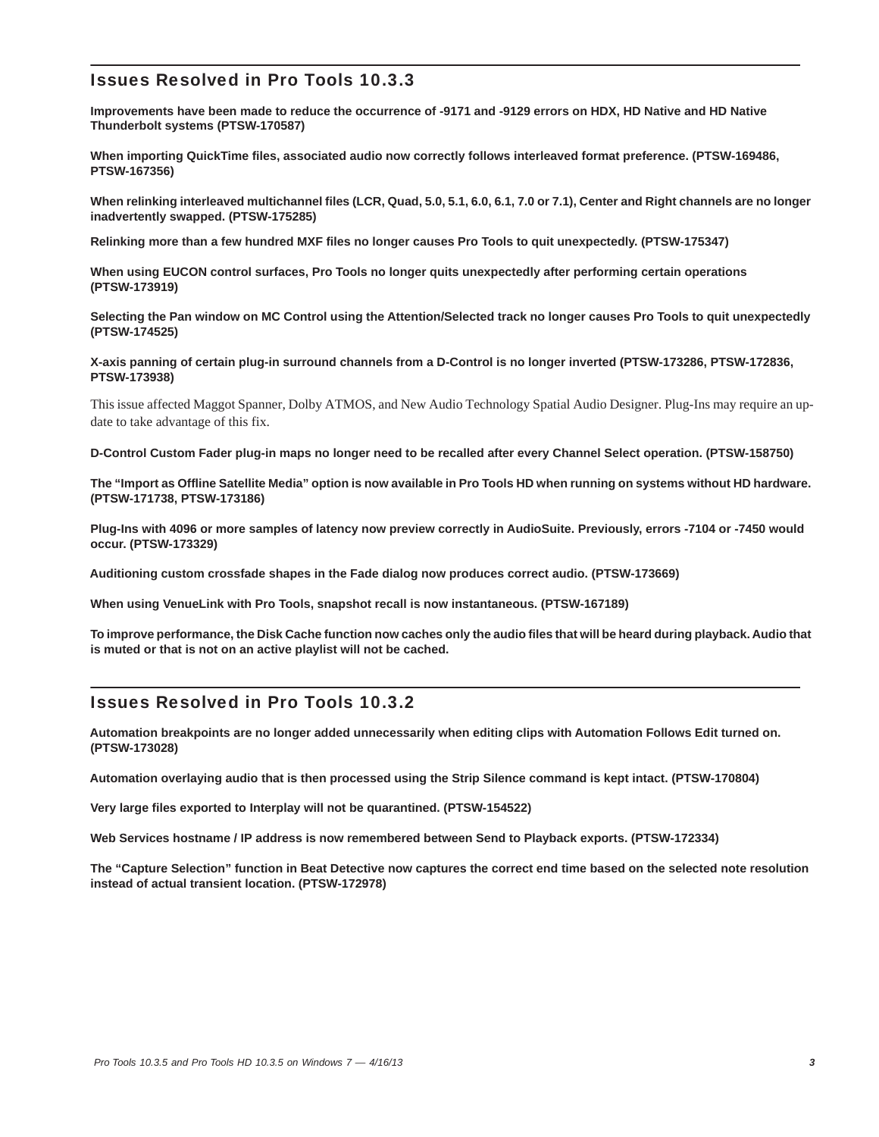# Issues Resolved in Pro Tools 10.3.3

**Improvements have been made to reduce the occurrence of -9171 and -9129 errors on HDX, HD Native and HD Native Thunderbolt systems (PTSW-170587)**

**When importing QuickTime files, associated audio now correctly follows interleaved format preference. (PTSW-169486, PTSW-167356)**

**When relinking interleaved multichannel files (LCR, Quad, 5.0, 5.1, 6.0, 6.1, 7.0 or 7.1), Center and Right channels are no longer inadvertently swapped. (PTSW-175285)**

**Relinking more than a few hundred MXF files no longer causes Pro Tools to quit unexpectedly. (PTSW-175347)**

**When using EUCON control surfaces, Pro Tools no longer quits unexpectedly after performing certain operations (PTSW-173919)**

**Selecting the Pan window on MC Control using the Attention/Selected track no longer causes Pro Tools to quit unexpectedly (PTSW-174525)**

**X-axis panning of certain plug-in surround channels from a D-Control is no longer inverted (PTSW-173286, PTSW-172836, PTSW-173938)**

This issue affected Maggot Spanner, Dolby ATMOS, and New Audio Technology Spatial Audio Designer. Plug-Ins may require an update to take advantage of this fix.

**D-Control Custom Fader plug-in maps no longer need to be recalled after every Channel Select operation. (PTSW-158750)**

**The "Import as Offline Satellite Media" option is now available in Pro Tools HD when running on systems without HD hardware. (PTSW-171738, PTSW-173186)**

**Plug-Ins with 4096 or more samples of latency now preview correctly in AudioSuite. Previously, errors -7104 or -7450 would occur. (PTSW-173329)**

**Auditioning custom crossfade shapes in the Fade dialog now produces correct audio. (PTSW-173669)**

**When using VenueLink with Pro Tools, snapshot recall is now instantaneous. (PTSW-167189)**

**To improve performance, the Disk Cache function now caches only the audio files that will be heard during playback. Audio that is muted or that is not on an active playlist will not be cached.**

# Issues Resolved in Pro Tools 10.3.2

**Automation breakpoints are no longer added unnecessarily when editing clips with Automation Follows Edit turned on. (PTSW-173028)**

**Automation overlaying audio that is then processed using the Strip Silence command is kept intact. (PTSW-170804)**

**Very large files exported to Interplay will not be quarantined. (PTSW-154522)**

**Web Services hostname / IP address is now remembered between Send to Playback exports. (PTSW-172334)**

**The "Capture Selection" function in Beat Detective now captures the correct end time based on the selected note resolution instead of actual transient location. (PTSW-172978)**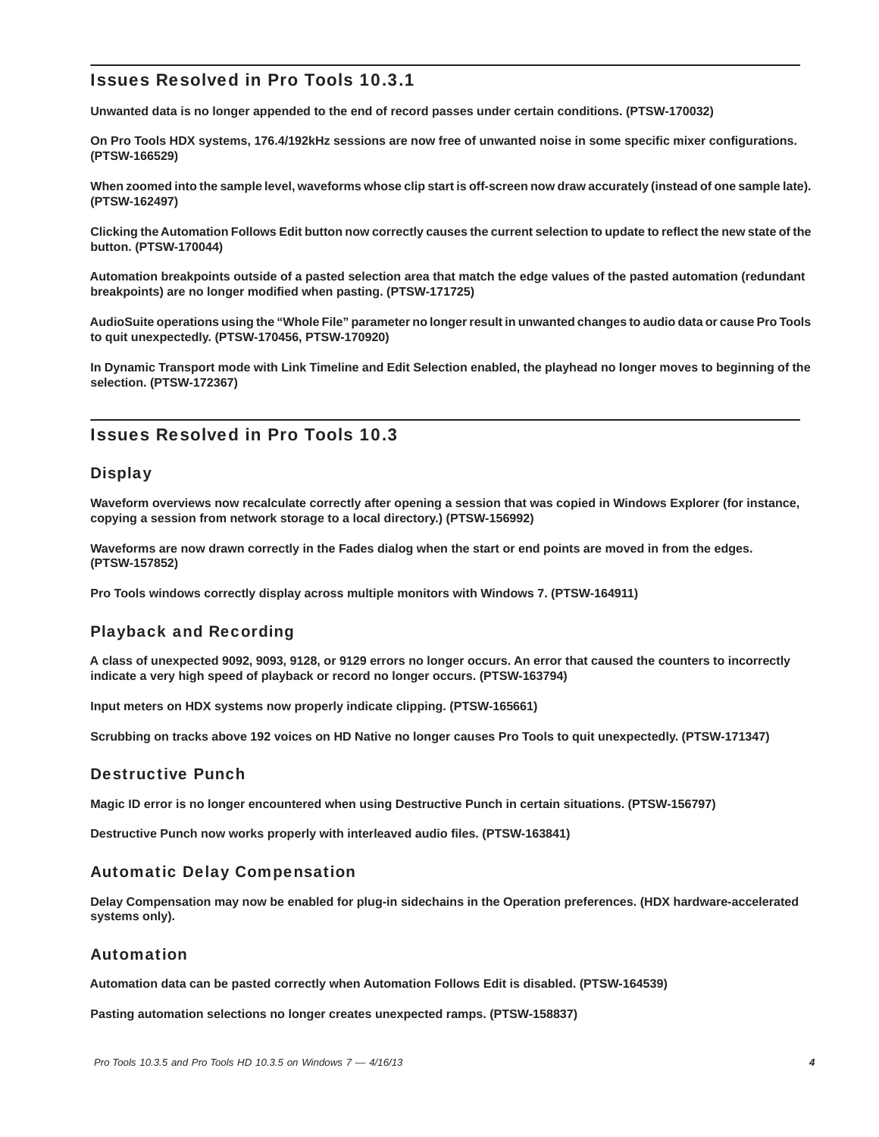# Issues Resolved in Pro Tools 10.3.1

**Unwanted data is no longer appended to the end of record passes under certain conditions. (PTSW-170032)**

**On Pro Tools HDX systems, 176.4/192kHz sessions are now free of unwanted noise in some specific mixer configurations. (PTSW-166529)**

**When zoomed into the sample level, waveforms whose clip start is off-screen now draw accurately (instead of one sample late). (PTSW-162497)**

**Clicking the Automation Follows Edit button now correctly causes the current selection to update to reflect the new state of the button. (PTSW-170044)**

**Automation breakpoints outside of a pasted selection area that match the edge values of the pasted automation (redundant breakpoints) are no longer modified when pasting. (PTSW-171725)**

**AudioSuite operations using the "Whole File" parameter no longer result in unwanted changes to audio data or cause Pro Tools to quit unexpectedly. (PTSW-170456, PTSW-170920)**

**In Dynamic Transport mode with Link Timeline and Edit Selection enabled, the playhead no longer moves to beginning of the selection. (PTSW-172367)**

# Issues Resolved in Pro Tools 10.3

# **Display**

**Waveform overviews now recalculate correctly after opening a session that was copied in Windows Explorer (for instance, copying a session from network storage to a local directory.) (PTSW-156992)**

**Waveforms are now drawn correctly in the Fades dialog when the start or end points are moved in from the edges. (PTSW-157852)**

**Pro Tools windows correctly display across multiple monitors with Windows 7. (PTSW-164911)**

# Playback and Recording

**A class of unexpected 9092, 9093, 9128, or 9129 errors no longer occurs. An error that caused the counters to incorrectly indicate a very high speed of playback or record no longer occurs. (PTSW-163794)**

**Input meters on HDX systems now properly indicate clipping. (PTSW-165661)**

**Scrubbing on tracks above 192 voices on HD Native no longer causes Pro Tools to quit unexpectedly. (PTSW-171347)**

# Destructive Punch

**Magic ID error is no longer encountered when using Destructive Punch in certain situations. (PTSW-156797)**

**Destructive Punch now works properly with interleaved audio files. (PTSW-163841)**

### Automatic Delay Compensation

**Delay Compensation may now be enabled for plug-in sidechains in the Operation preferences. (HDX hardware-accelerated systems only).**

### Automation

**Automation data can be pasted correctly when Automation Follows Edit is disabled. (PTSW-164539)**

**Pasting automation selections no longer creates unexpected ramps. (PTSW-158837)**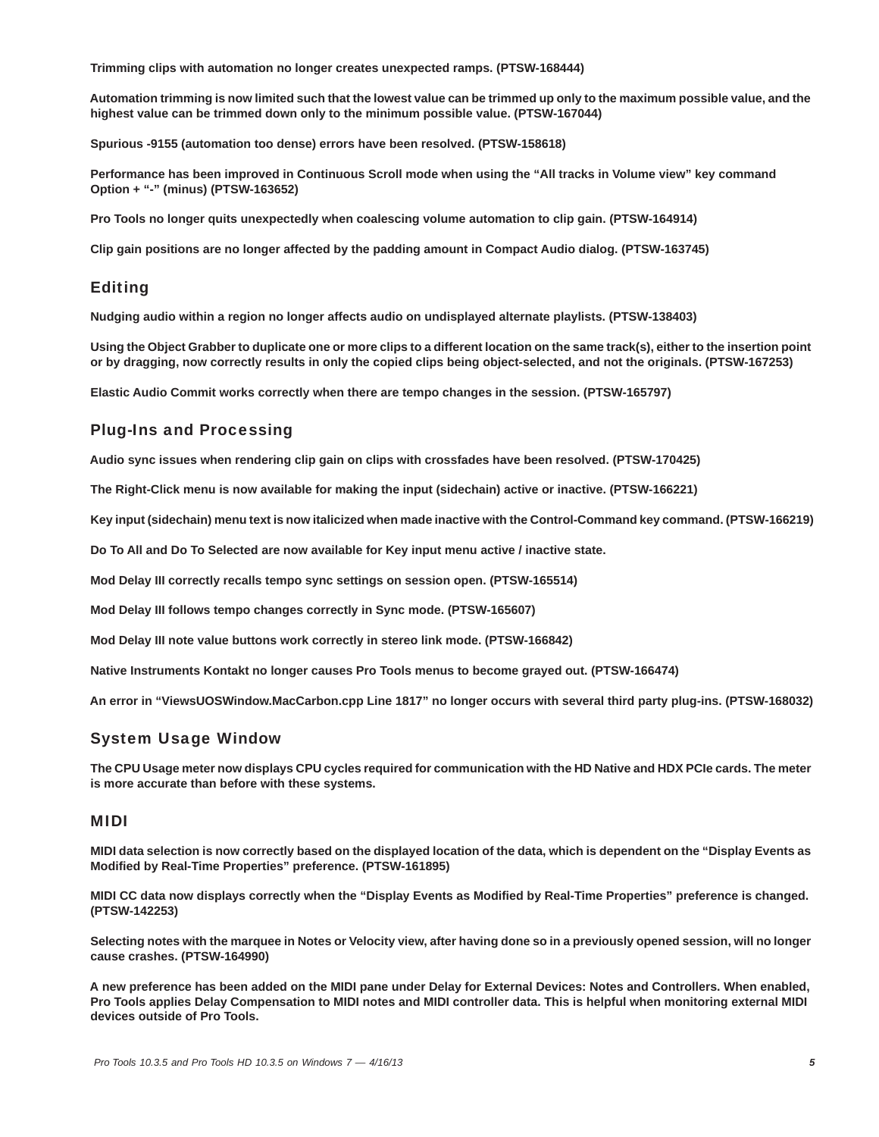**Trimming clips with automation no longer creates unexpected ramps. (PTSW-168444)**

**Automation trimming is now limited such that the lowest value can be trimmed up only to the maximum possible value, and the highest value can be trimmed down only to the minimum possible value. (PTSW-167044)**

**Spurious -9155 (automation too dense) errors have been resolved. (PTSW-158618)**

**Performance has been improved in Continuous Scroll mode when using the "All tracks in Volume view" key command Option + "-" (minus) (PTSW-163652)**

**Pro Tools no longer quits unexpectedly when coalescing volume automation to clip gain. (PTSW-164914)**

**Clip gain positions are no longer affected by the padding amount in Compact Audio dialog. (PTSW-163745)**

### Editing

**Nudging audio within a region no longer affects audio on undisplayed alternate playlists. (PTSW-138403)**

**Using the Object Grabber to duplicate one or more clips to a different location on the same track(s), either to the insertion point or by dragging, now correctly results in only the copied clips being object-selected, and not the originals. (PTSW-167253)**

**Elastic Audio Commit works correctly when there are tempo changes in the session. (PTSW-165797)**

### Plug-Ins and Processing

**Audio sync issues when rendering clip gain on clips with crossfades have been resolved. (PTSW-170425)**

**The Right-Click menu is now available for making the input (sidechain) active or inactive. (PTSW-166221)**

**Key input (sidechain) menu text is now italicized when made inactive with the Control-Command key command. (PTSW-166219)**

**Do To All and Do To Selected are now available for Key input menu active / inactive state.**

**Mod Delay III correctly recalls tempo sync settings on session open. (PTSW-165514)**

**Mod Delay III follows tempo changes correctly in Sync mode. (PTSW-165607)**

**Mod Delay III note value buttons work correctly in stereo link mode. (PTSW-166842)**

**Native Instruments Kontakt no longer causes Pro Tools menus to become grayed out. (PTSW-166474)**

**An error in "ViewsUOSWindow.MacCarbon.cpp Line 1817" no longer occurs with several third party plug-ins. (PTSW-168032)**

### System Usage Window

**The CPU Usage meter now displays CPU cycles required for communication with the HD Native and HDX PCIe cards. The meter is more accurate than before with these systems.** 

### MIDI

**MIDI data selection is now correctly based on the displayed location of the data, which is dependent on the "Display Events as Modified by Real-Time Properties" preference. (PTSW-161895)**

**MIDI CC data now displays correctly when the "Display Events as Modified by Real-Time Properties" preference is changed. (PTSW-142253)**

**Selecting notes with the marquee in Notes or Velocity view, after having done so in a previously opened session, will no longer cause crashes. (PTSW-164990)**

**A new preference has been added on the MIDI pane under Delay for External Devices: Notes and Controllers. When enabled, Pro Tools applies Delay Compensation to MIDI notes and MIDI controller data. This is helpful when monitoring external MIDI devices outside of Pro Tools.**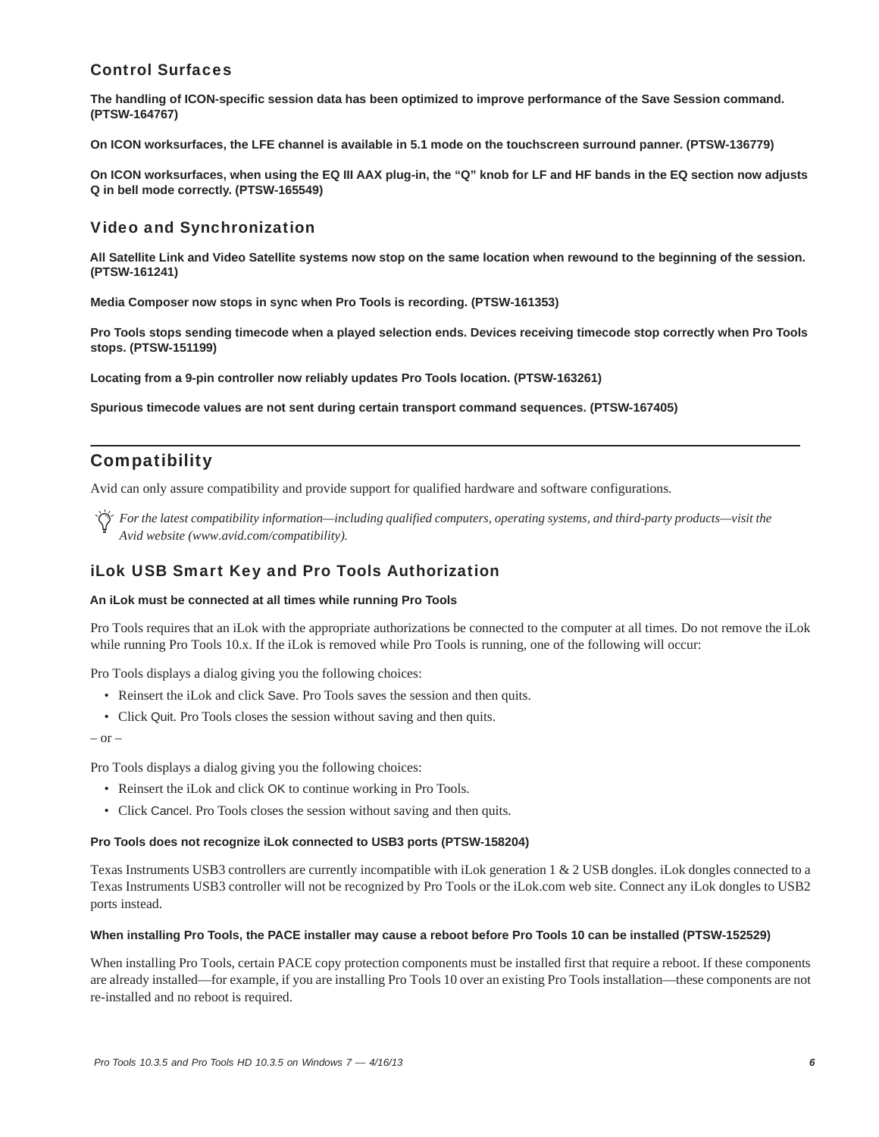# Control Surfaces

**The handling of ICON-specific session data has been optimized to improve performance of the Save Session command. (PTSW-164767)**

**On ICON worksurfaces, the LFE channel is available in 5.1 mode on the touchscreen surround panner. (PTSW-136779)**

**On ICON worksurfaces, when using the EQ III AAX plug-in, the "Q" knob for LF and HF bands in the EQ section now adjusts Q in bell mode correctly. (PTSW-165549)**

# Video and Synchronization

**All Satellite Link and Video Satellite systems now stop on the same location when rewound to the beginning of the session. (PTSW-161241)**

**Media Composer now stops in sync when Pro Tools is recording. (PTSW-161353)**

**Pro Tools stops sending timecode when a played selection ends. Devices receiving timecode stop correctly when Pro Tools stops. (PTSW-151199)**

**Locating from a 9-pin controller now reliably updates Pro Tools location. (PTSW-163261)**

**Spurious timecode values are not sent during certain transport command sequences. (PTSW-167405)**

# **Compatibility**

Avid can only assure compatibility and provide support for qualified hardware and software configurations.

*For the latest compatibility information—including qualified computers, operating systems, and third-party products—visit the Avid website (www.avid.com/compatibility).*

## iLok USB Smart Key and Pro Tools Authorization

### **An iLok must be connected at all times while running Pro Tools**

Pro Tools requires that an iLok with the appropriate authorizations be connected to the computer at all times. Do not remove the iLok while running Pro Tools 10.x. If the iLok is removed while Pro Tools is running, one of the following will occur:

Pro Tools displays a dialog giving you the following choices:

- Reinsert the iLok and click Save. Pro Tools saves the session and then quits.
- Click Quit. Pro Tools closes the session without saving and then quits.

 $-$  or  $-$ 

Pro Tools displays a dialog giving you the following choices:

- Reinsert the iLok and click OK to continue working in Pro Tools.
- Click Cancel. Pro Tools closes the session without saving and then quits.

#### **Pro Tools does not recognize iLok connected to USB3 ports (PTSW-158204)**

Texas Instruments USB3 controllers are currently incompatible with iLok generation 1 & 2 USB dongles. iLok dongles connected to a Texas Instruments USB3 controller will not be recognized by Pro Tools or the iLok.com web site. Connect any iLok dongles to USB2 ports instead.

#### **When installing Pro Tools, the PACE installer may cause a reboot before Pro Tools 10 can be installed (PTSW-152529)**

When installing Pro Tools, certain PACE copy protection components must be installed first that require a reboot. If these components are already installed—for example, if you are installing Pro Tools 10 over an existing Pro Tools installation—these components are not re-installed and no reboot is required.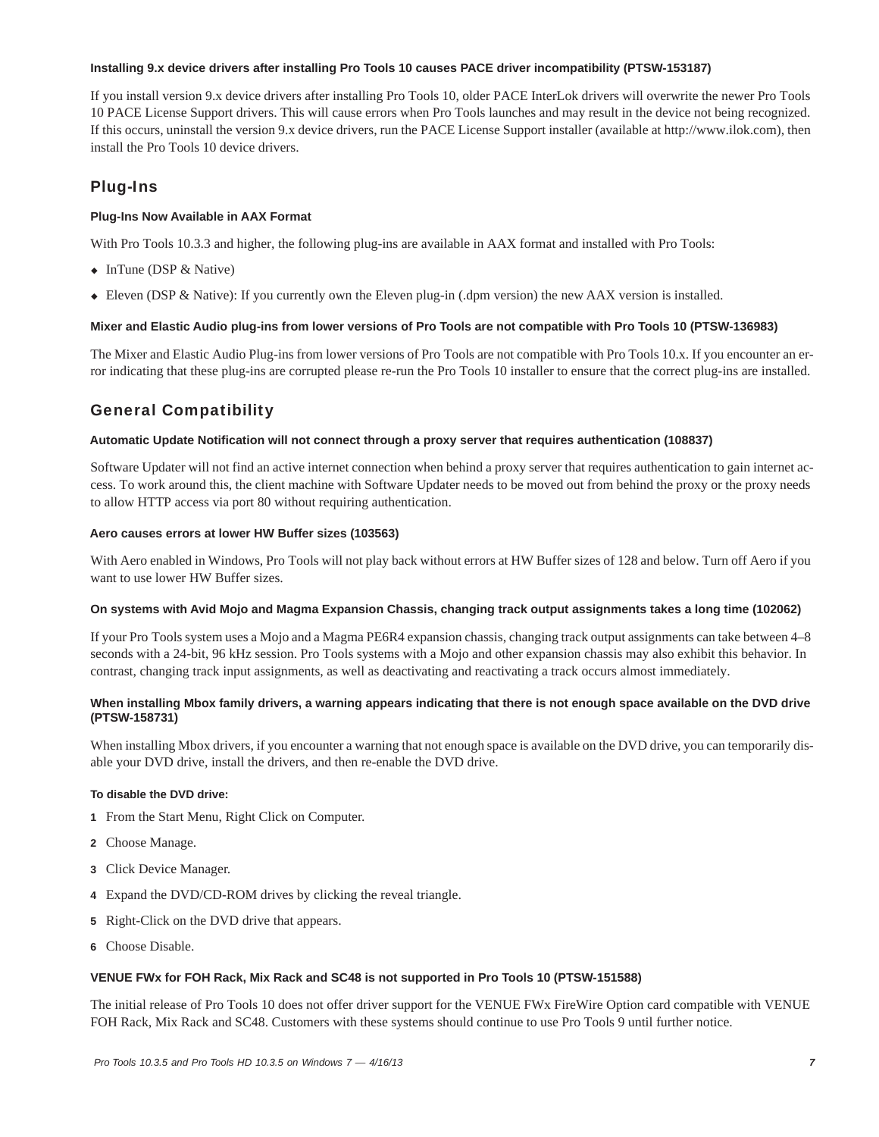### **Installing 9.x device drivers after installing Pro Tools 10 causes PACE driver incompatibility (PTSW-153187)**

If you install version 9.x device drivers after installing Pro Tools 10, older PACE InterLok drivers will overwrite the newer Pro Tools 10 PACE License Support drivers. This will cause errors when Pro Tools launches and may result in the device not being recognized. If this occurs, uninstall the version 9.x device drivers, run the PACE License Support installer (available at http://www.ilok.com), then install the Pro Tools 10 device drivers.

# Plug-Ins

### **Plug-Ins Now Available in AAX Format**

With Pro Tools 10.3.3 and higher, the following plug-ins are available in AAX format and installed with Pro Tools:

- $\bullet$  InTune (DSP & Native)
- Eleven (DSP & Native): If you currently own the Eleven plug-in (.dpm version) the new AAX version is installed.

### **Mixer and Elastic Audio plug-ins from lower versions of Pro Tools are not compatible with Pro Tools 10 (PTSW-136983)**

The Mixer and Elastic Audio Plug-ins from lower versions of Pro Tools are not compatible with Pro Tools 10.x. If you encounter an error indicating that these plug-ins are corrupted please re-run the Pro Tools 10 installer to ensure that the correct plug-ins are installed.

# General Compatibility

### **Automatic Update Notification will not connect through a proxy server that requires authentication (108837)**

Software Updater will not find an active internet connection when behind a proxy server that requires authentication to gain internet access. To work around this, the client machine with Software Updater needs to be moved out from behind the proxy or the proxy needs to allow HTTP access via port 80 without requiring authentication.

### **Aero causes errors at lower HW Buffer sizes (103563)**

With Aero enabled in Windows, Pro Tools will not play back without errors at HW Buffer sizes of 128 and below. Turn off Aero if you want to use lower HW Buffer sizes.

### **On systems with Avid Mojo and Magma Expansion Chassis, changing track output assignments takes a long time (102062)**

If your Pro Tools system uses a Mojo and a Magma PE6R4 expansion chassis, changing track output assignments can take between 4–8 seconds with a 24-bit, 96 kHz session. Pro Tools systems with a Mojo and other expansion chassis may also exhibit this behavior. In contrast, changing track input assignments, as well as deactivating and reactivating a track occurs almost immediately.

### **When installing Mbox family drivers, a warning appears indicating that there is not enough space available on the DVD drive (PTSW-158731)**

When installing Mbox drivers, if you encounter a warning that not enough space is available on the DVD drive, you can temporarily disable your DVD drive, install the drivers, and then re-enable the DVD drive.

### **To disable the DVD drive:**

- **1** From the Start Menu, Right Click on Computer.
- **2** Choose Manage.
- **3** Click Device Manager.
- **4** Expand the DVD/CD-ROM drives by clicking the reveal triangle.
- **5** Right-Click on the DVD drive that appears.
- **6** Choose Disable.

### **VENUE FWx for FOH Rack, Mix Rack and SC48 is not supported in Pro Tools 10 (PTSW-151588)**

The initial release of Pro Tools 10 does not offer driver support for the VENUE FWx FireWire Option card compatible with VENUE FOH Rack, Mix Rack and SC48. Customers with these systems should continue to use Pro Tools 9 until further notice.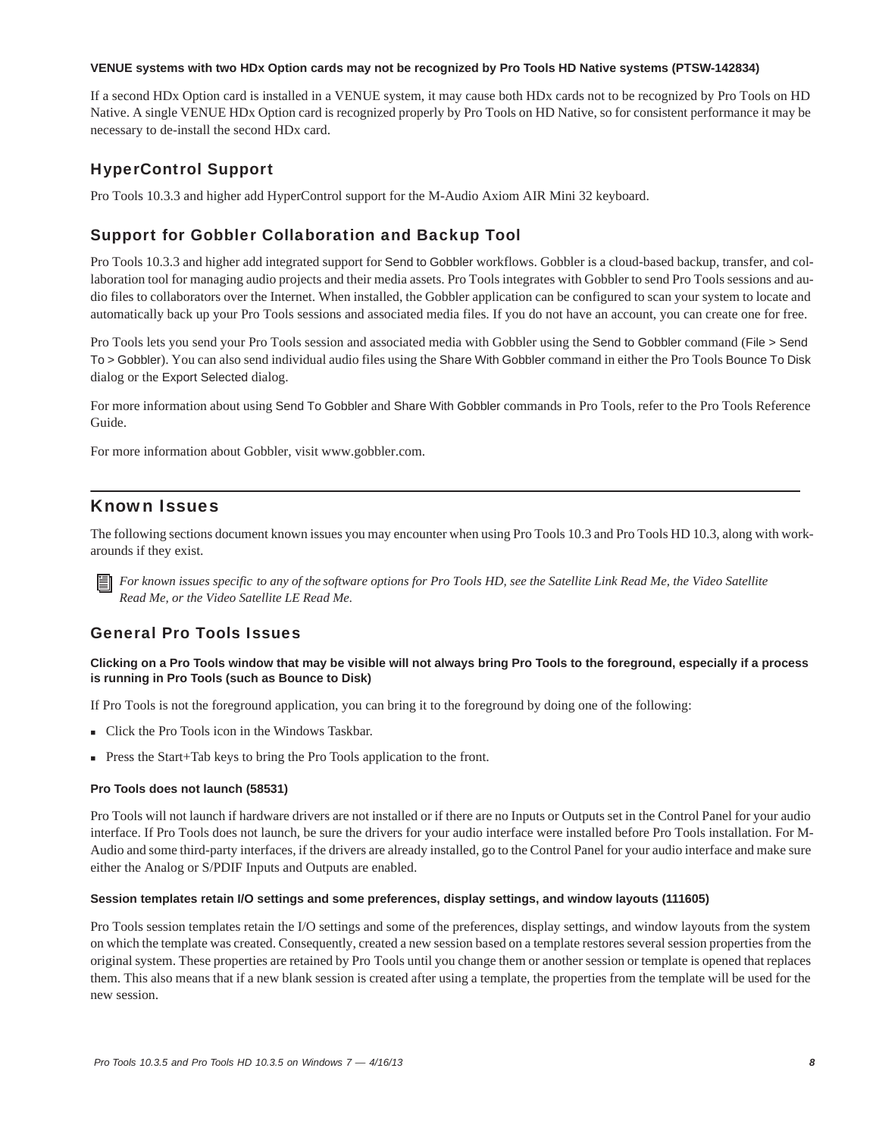### **VENUE systems with two HDx Option cards may not be recognized by Pro Tools HD Native systems (PTSW-142834)**

If a second HDx Option card is installed in a VENUE system, it may cause both HDx cards not to be recognized by Pro Tools on HD Native. A single VENUE HDx Option card is recognized properly by Pro Tools on HD Native, so for consistent performance it may be necessary to de-install the second HDx card.

# HyperControl Support

Pro Tools 10.3.3 and higher add HyperControl support for the M-Audio Axiom AIR Mini 32 keyboard.

# Support for Gobbler Collaboration and Backup Tool

Pro Tools 10.3.3 and higher add integrated support for Send to Gobbler workflows. Gobbler is a cloud-based backup, transfer, and collaboration tool for managing audio projects and their media assets. Pro Tools integrates with Gobbler to send Pro Tools sessions and audio files to collaborators over the Internet. When installed, the Gobbler application can be configured to scan your system to locate and automatically back up your Pro Tools sessions and associated media files. If you do not have an account, you can create one for free.

Pro Tools lets you send your Pro Tools session and associated media with Gobbler using the Send to Gobbler command (File > Send To > Gobbler). You can also send individual audio files using the Share With Gobbler command in either the Pro Tools Bounce To Disk dialog or the Export Selected dialog.

For more information about using Send To Gobbler and Share With Gobbler commands in Pro Tools, refer to the Pro Tools Reference Guide.

For more information about Gobbler, visit www.gobbler.com.

# Known Issues

The following sections document known issues you may encounter when using Pro Tools 10.3 and Pro Tools HD 10.3, along with workarounds if they exist.

*For known issues specific to any of the software options for Pro Tools HD, see the Satellite Link Read Me, the Video Satellite Read Me, or the Video Satellite LE Read Me.*

# General Pro Tools Issues

### **Clicking on a Pro Tools window that may be visible will not always bring Pro Tools to the foreground, especially if a process is running in Pro Tools (such as Bounce to Disk)**

If Pro Tools is not the foreground application, you can bring it to the foreground by doing one of the following:

- Click the Pro Tools icon in the Windows Taskbar.
- Press the Start+Tab keys to bring the Pro Tools application to the front.

### **Pro Tools does not launch (58531)**

Pro Tools will not launch if hardware drivers are not installed or if there are no Inputs or Outputs set in the Control Panel for your audio interface. If Pro Tools does not launch, be sure the drivers for your audio interface were installed before Pro Tools installation. For M-Audio and some third-party interfaces, if the drivers are already installed, go to the Control Panel for your audio interface and make sure either the Analog or S/PDIF Inputs and Outputs are enabled.

### **Session templates retain I/O settings and some preferences, display settings, and window layouts (111605)**

Pro Tools session templates retain the I/O settings and some of the preferences, display settings, and window layouts from the system on which the template was created. Consequently, created a new session based on a template restores several session properties from the original system. These properties are retained by Pro Tools until you change them or another session or template is opened that replaces them. This also means that if a new blank session is created after using a template, the properties from the template will be used for the new session.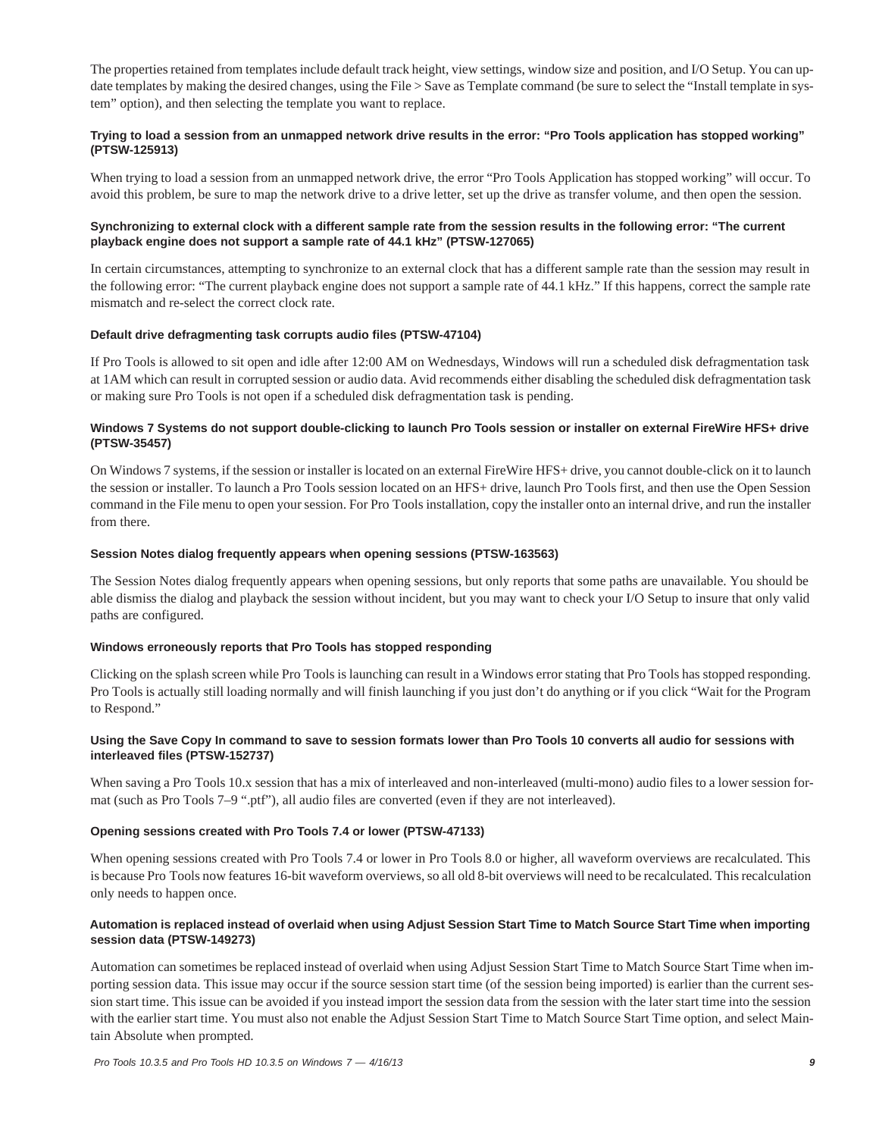The properties retained from templates include default track height, view settings, window size and position, and I/O Setup. You can update templates by making the desired changes, using the File > Save as Template command (be sure to select the "Install template in system" option), and then selecting the template you want to replace.

### **Trying to load a session from an unmapped network drive results in the error: "Pro Tools application has stopped working" (PTSW-125913)**

When trying to load a session from an unmapped network drive, the error "Pro Tools Application has stopped working" will occur. To avoid this problem, be sure to map the network drive to a drive letter, set up the drive as transfer volume, and then open the session.

### **Synchronizing to external clock with a different sample rate from the session results in the following error: "The current playback engine does not support a sample rate of 44.1 kHz" (PTSW-127065)**

In certain circumstances, attempting to synchronize to an external clock that has a different sample rate than the session may result in the following error: "The current playback engine does not support a sample rate of 44.1 kHz." If this happens, correct the sample rate mismatch and re-select the correct clock rate.

### **Default drive defragmenting task corrupts audio files (PTSW-47104)**

If Pro Tools is allowed to sit open and idle after 12:00 AM on Wednesdays, Windows will run a scheduled disk defragmentation task at 1AM which can result in corrupted session or audio data. Avid recommends either disabling the scheduled disk defragmentation task or making sure Pro Tools is not open if a scheduled disk defragmentation task is pending.

### **Windows 7 Systems do not support double-clicking to launch Pro Tools session or installer on external FireWire HFS+ drive (PTSW-35457)**

On Windows 7 systems, if the session or installer is located on an external FireWire HFS+ drive, you cannot double-click on it to launch the session or installer. To launch a Pro Tools session located on an HFS+ drive, launch Pro Tools first, and then use the Open Session command in the File menu to open your session. For Pro Tools installation, copy the installer onto an internal drive, and run the installer from there.

### **Session Notes dialog frequently appears when opening sessions (PTSW-163563)**

The Session Notes dialog frequently appears when opening sessions, but only reports that some paths are unavailable. You should be able dismiss the dialog and playback the session without incident, but you may want to check your I/O Setup to insure that only valid paths are configured.

### **Windows erroneously reports that Pro Tools has stopped responding**

Clicking on the splash screen while Pro Tools is launching can result in a Windows error stating that Pro Tools has stopped responding. Pro Tools is actually still loading normally and will finish launching if you just don't do anything or if you click "Wait for the Program to Respond."

### **Using the Save Copy In command to save to session formats lower than Pro Tools 10 converts all audio for sessions with interleaved files (PTSW-152737)**

When saving a Pro Tools 10.x session that has a mix of interleaved and non-interleaved (multi-mono) audio files to a lower session format (such as Pro Tools 7–9 ".ptf"), all audio files are converted (even if they are not interleaved).

### **Opening sessions created with Pro Tools 7.4 or lower (PTSW-47133)**

When opening sessions created with Pro Tools 7.4 or lower in Pro Tools 8.0 or higher, all waveform overviews are recalculated. This is because Pro Tools now features 16-bit waveform overviews, so all old 8-bit overviews will need to be recalculated. This recalculation only needs to happen once.

### **Automation is replaced instead of overlaid when using Adjust Session Start Time to Match Source Start Time when importing session data (PTSW-149273)**

Automation can sometimes be replaced instead of overlaid when using Adjust Session Start Time to Match Source Start Time when importing session data. This issue may occur if the source session start time (of the session being imported) is earlier than the current session start time. This issue can be avoided if you instead import the session data from the session with the later start time into the session with the earlier start time. You must also not enable the Adjust Session Start Time to Match Source Start Time option, and select Maintain Absolute when prompted.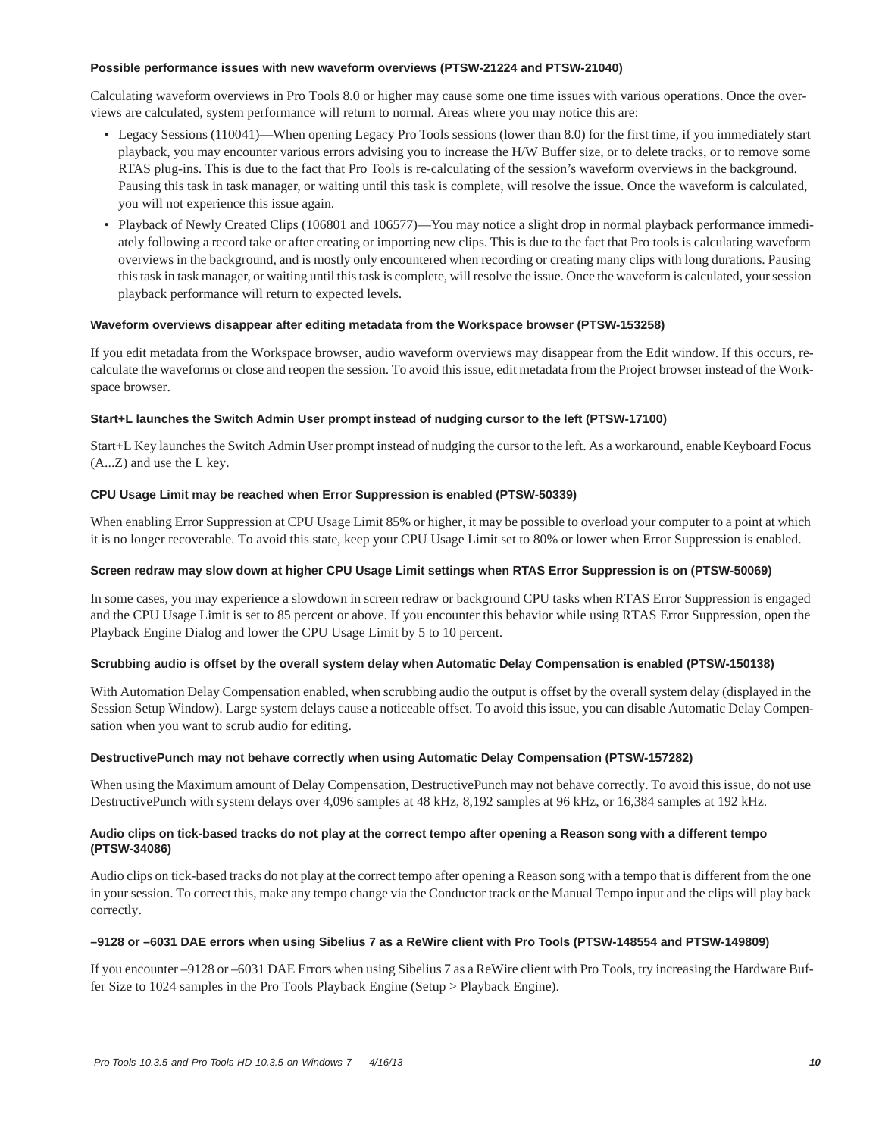### **Possible performance issues with new waveform overviews (PTSW-21224 and PTSW-21040)**

Calculating waveform overviews in Pro Tools 8.0 or higher may cause some one time issues with various operations. Once the overviews are calculated, system performance will return to normal. Areas where you may notice this are:

- Legacy Sessions (110041)—When opening Legacy Pro Tools sessions (lower than 8.0) for the first time, if you immediately start playback, you may encounter various errors advising you to increase the H/W Buffer size, or to delete tracks, or to remove some RTAS plug-ins. This is due to the fact that Pro Tools is re-calculating of the session's waveform overviews in the background. Pausing this task in task manager, or waiting until this task is complete, will resolve the issue. Once the waveform is calculated, you will not experience this issue again.
- Playback of Newly Created Clips (106801 and 106577)—You may notice a slight drop in normal playback performance immediately following a record take or after creating or importing new clips. This is due to the fact that Pro tools is calculating waveform overviews in the background, and is mostly only encountered when recording or creating many clips with long durations. Pausing this task in task manager, or waiting until this task is complete, will resolve the issue. Once the waveform is calculated, your session playback performance will return to expected levels.

### **Waveform overviews disappear after editing metadata from the Workspace browser (PTSW-153258)**

If you edit metadata from the Workspace browser, audio waveform overviews may disappear from the Edit window. If this occurs, recalculate the waveforms or close and reopen the session. To avoid this issue, edit metadata from the Project browser instead of the Workspace browser.

### **Start+L launches the Switch Admin User prompt instead of nudging cursor to the left (PTSW-17100)**

Start+L Key launches the Switch Admin User prompt instead of nudging the cursor to the left. As a workaround, enable Keyboard Focus (A...Z) and use the L key.

### **CPU Usage Limit may be reached when Error Suppression is enabled (PTSW-50339)**

When enabling Error Suppression at CPU Usage Limit 85% or higher, it may be possible to overload your computer to a point at which it is no longer recoverable. To avoid this state, keep your CPU Usage Limit set to 80% or lower when Error Suppression is enabled.

### **Screen redraw may slow down at higher CPU Usage Limit settings when RTAS Error Suppression is on (PTSW-50069)**

In some cases, you may experience a slowdown in screen redraw or background CPU tasks when RTAS Error Suppression is engaged and the CPU Usage Limit is set to 85 percent or above. If you encounter this behavior while using RTAS Error Suppression, open the Playback Engine Dialog and lower the CPU Usage Limit by 5 to 10 percent.

### **Scrubbing audio is offset by the overall system delay when Automatic Delay Compensation is enabled (PTSW-150138)**

With Automation Delay Compensation enabled, when scrubbing audio the output is offset by the overall system delay (displayed in the Session Setup Window). Large system delays cause a noticeable offset. To avoid this issue, you can disable Automatic Delay Compensation when you want to scrub audio for editing.

### **DestructivePunch may not behave correctly when using Automatic Delay Compensation (PTSW-157282)**

When using the Maximum amount of Delay Compensation, DestructivePunch may not behave correctly. To avoid this issue, do not use DestructivePunch with system delays over 4,096 samples at 48 kHz, 8,192 samples at 96 kHz, or 16,384 samples at 192 kHz.

### **Audio clips on tick-based tracks do not play at the correct tempo after opening a Reason song with a different tempo (PTSW-34086)**

Audio clips on tick-based tracks do not play at the correct tempo after opening a Reason song with a tempo that is different from the one in your session. To correct this, make any tempo change via the Conductor track or the Manual Tempo input and the clips will play back correctly.

### **–9128 or –6031 DAE errors when using Sibelius 7 as a ReWire client with Pro Tools (PTSW-148554 and PTSW-149809)**

If you encounter –9128 or –6031 DAE Errors when using Sibelius 7 as a ReWire client with Pro Tools, try increasing the Hardware Buffer Size to 1024 samples in the Pro Tools Playback Engine (Setup > Playback Engine).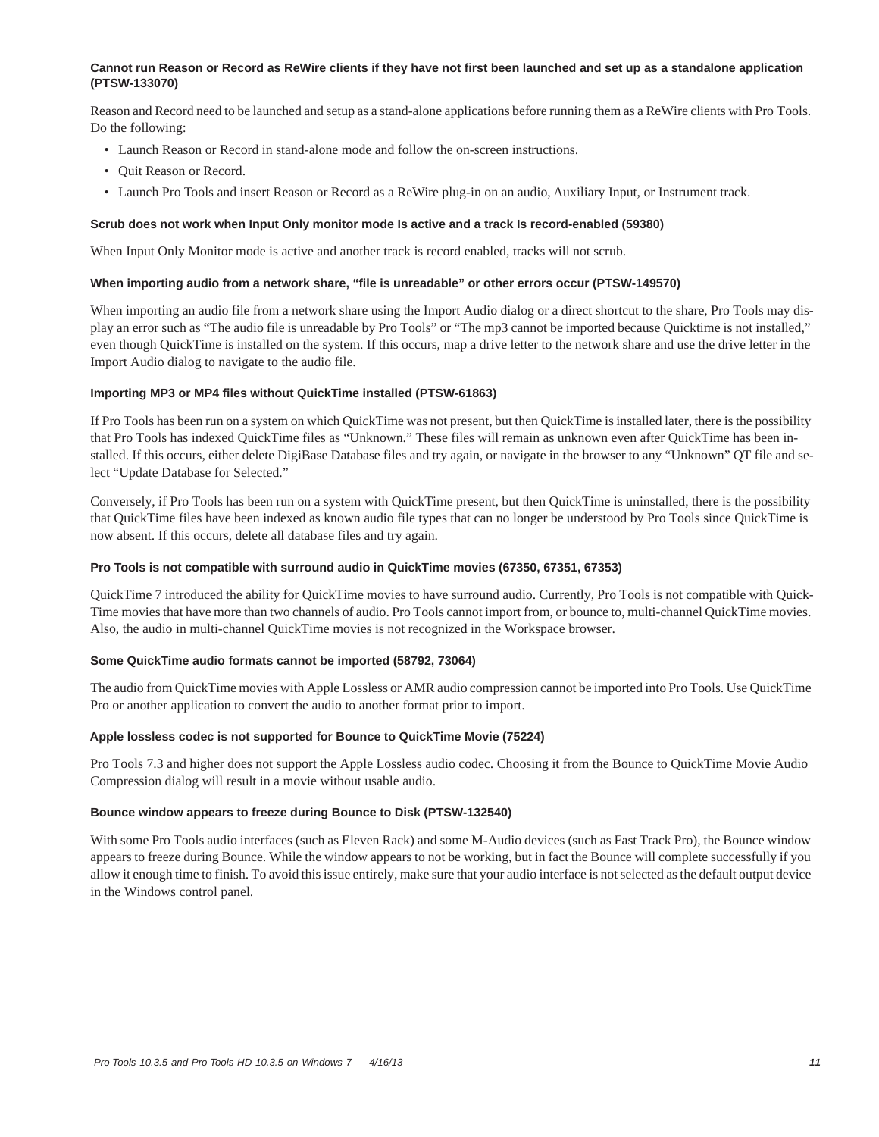### **Cannot run Reason or Record as ReWire clients if they have not first been launched and set up as a standalone application (PTSW-133070)**

Reason and Record need to be launched and setup as a stand-alone applications before running them as a ReWire clients with Pro Tools. Do the following:

- Launch Reason or Record in stand-alone mode and follow the on-screen instructions.
- Quit Reason or Record.
- Launch Pro Tools and insert Reason or Record as a ReWire plug-in on an audio, Auxiliary Input, or Instrument track.

#### **Scrub does not work when Input Only monitor mode Is active and a track Is record-enabled (59380)**

When Input Only Monitor mode is active and another track is record enabled, tracks will not scrub.

### **When importing audio from a network share, "file is unreadable" or other errors occur (PTSW-149570)**

When importing an audio file from a network share using the Import Audio dialog or a direct shortcut to the share, Pro Tools may display an error such as "The audio file is unreadable by Pro Tools" or "The mp3 cannot be imported because Quicktime is not installed," even though QuickTime is installed on the system. If this occurs, map a drive letter to the network share and use the drive letter in the Import Audio dialog to navigate to the audio file.

### **Importing MP3 or MP4 files without QuickTime installed (PTSW-61863)**

If Pro Tools has been run on a system on which QuickTime was not present, but then QuickTime is installed later, there is the possibility that Pro Tools has indexed QuickTime files as "Unknown." These files will remain as unknown even after QuickTime has been installed. If this occurs, either delete DigiBase Database files and try again, or navigate in the browser to any "Unknown" QT file and select "Update Database for Selected."

Conversely, if Pro Tools has been run on a system with QuickTime present, but then QuickTime is uninstalled, there is the possibility that QuickTime files have been indexed as known audio file types that can no longer be understood by Pro Tools since QuickTime is now absent. If this occurs, delete all database files and try again.

### **Pro Tools is not compatible with surround audio in QuickTime movies (67350, 67351, 67353)**

QuickTime 7 introduced the ability for QuickTime movies to have surround audio. Currently, Pro Tools is not compatible with Quick-Time movies that have more than two channels of audio. Pro Tools cannot import from, or bounce to, multi-channel QuickTime movies. Also, the audio in multi-channel QuickTime movies is not recognized in the Workspace browser.

### **Some QuickTime audio formats cannot be imported (58792, 73064)**

The audio from QuickTime movies with Apple Lossless or AMR audio compression cannot be imported into Pro Tools. Use QuickTime Pro or another application to convert the audio to another format prior to import.

### **Apple lossless codec is not supported for Bounce to QuickTime Movie (75224)**

Pro Tools 7.3 and higher does not support the Apple Lossless audio codec. Choosing it from the Bounce to QuickTime Movie Audio Compression dialog will result in a movie without usable audio.

### **Bounce window appears to freeze during Bounce to Disk (PTSW-132540)**

With some Pro Tools audio interfaces (such as Eleven Rack) and some M-Audio devices (such as Fast Track Pro), the Bounce window appears to freeze during Bounce. While the window appears to not be working, but in fact the Bounce will complete successfully if you allow it enough time to finish. To avoid this issue entirely, make sure that your audio interface is not selected as the default output device in the Windows control panel.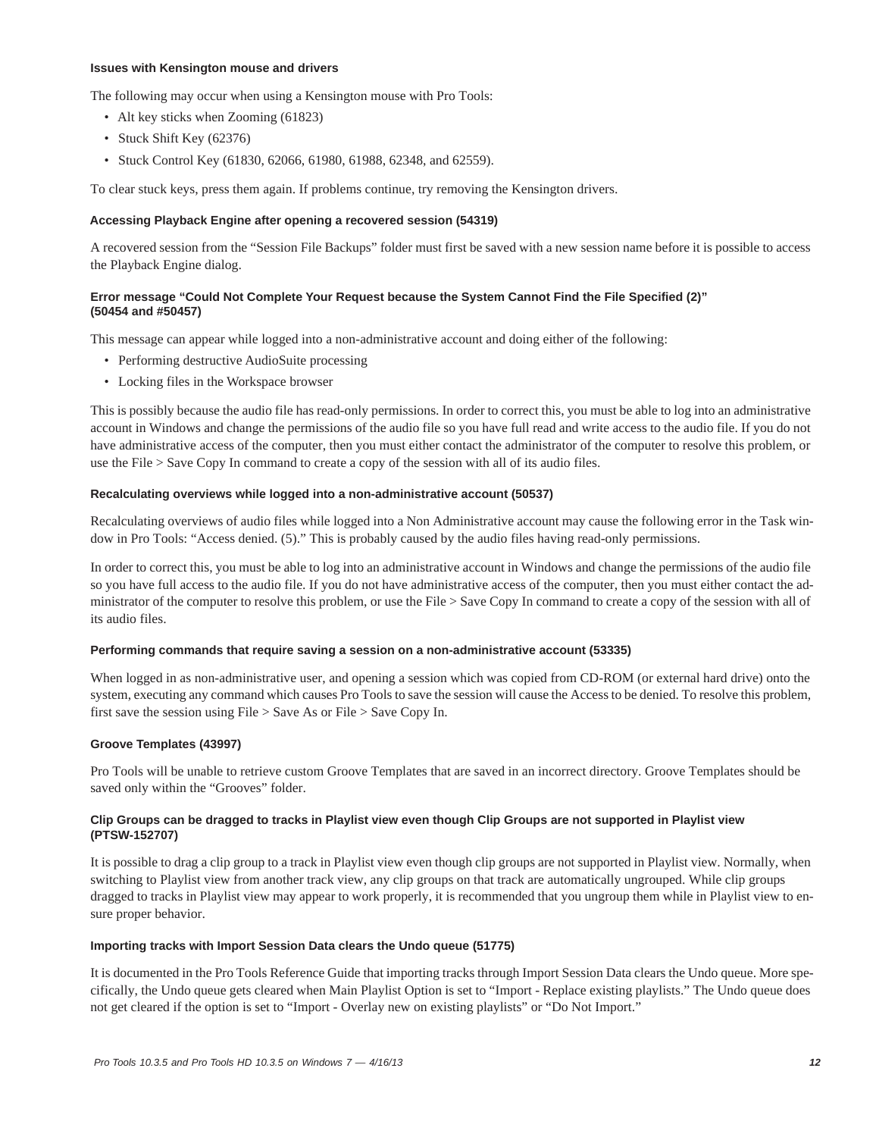### **Issues with Kensington mouse and drivers**

The following may occur when using a Kensington mouse with Pro Tools:

- Alt key sticks when Zooming (61823)
- Stuck Shift Key (62376)
- Stuck Control Key (61830, 62066, 61980, 61988, 62348, and 62559).

To clear stuck keys, press them again. If problems continue, try removing the Kensington drivers.

### **Accessing Playback Engine after opening a recovered session (54319)**

A recovered session from the "Session File Backups" folder must first be saved with a new session name before it is possible to access the Playback Engine dialog.

### **Error message "Could Not Complete Your Request because the System Cannot Find the File Specified (2)" (50454 and #50457)**

This message can appear while logged into a non-administrative account and doing either of the following:

- Performing destructive AudioSuite processing
- Locking files in the Workspace browser

This is possibly because the audio file has read-only permissions. In order to correct this, you must be able to log into an administrative account in Windows and change the permissions of the audio file so you have full read and write access to the audio file. If you do not have administrative access of the computer, then you must either contact the administrator of the computer to resolve this problem, or use the File > Save Copy In command to create a copy of the session with all of its audio files.

#### **Recalculating overviews while logged into a non-administrative account (50537)**

Recalculating overviews of audio files while logged into a Non Administrative account may cause the following error in the Task window in Pro Tools: "Access denied. (5)." This is probably caused by the audio files having read-only permissions.

In order to correct this, you must be able to log into an administrative account in Windows and change the permissions of the audio file so you have full access to the audio file. If you do not have administrative access of the computer, then you must either contact the administrator of the computer to resolve this problem, or use the File > Save Copy In command to create a copy of the session with all of its audio files.

#### **Performing commands that require saving a session on a non-administrative account (53335)**

When logged in as non-administrative user, and opening a session which was copied from CD-ROM (or external hard drive) onto the system, executing any command which causes Pro Tools to save the session will cause the Access to be denied. To resolve this problem, first save the session using File > Save As or File > Save Copy In.

### **Groove Templates (43997)**

Pro Tools will be unable to retrieve custom Groove Templates that are saved in an incorrect directory. Groove Templates should be saved only within the "Grooves" folder.

### **Clip Groups can be dragged to tracks in Playlist view even though Clip Groups are not supported in Playlist view (PTSW-152707)**

It is possible to drag a clip group to a track in Playlist view even though clip groups are not supported in Playlist view. Normally, when switching to Playlist view from another track view, any clip groups on that track are automatically ungrouped. While clip groups dragged to tracks in Playlist view may appear to work properly, it is recommended that you ungroup them while in Playlist view to ensure proper behavior.

#### **Importing tracks with Import Session Data clears the Undo queue (51775)**

It is documented in the Pro Tools Reference Guide that importing tracks through Import Session Data clears the Undo queue. More specifically, the Undo queue gets cleared when Main Playlist Option is set to "Import - Replace existing playlists." The Undo queue does not get cleared if the option is set to "Import - Overlay new on existing playlists" or "Do Not Import."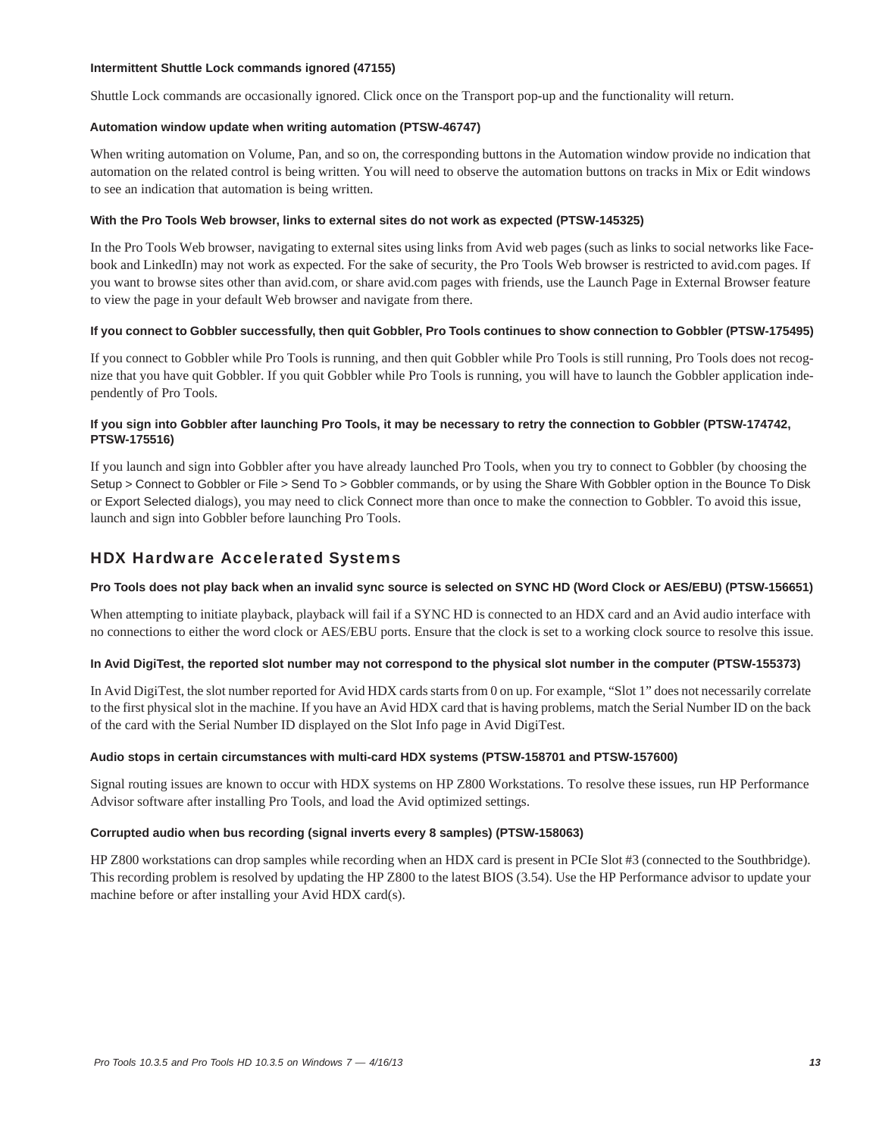### **Intermittent Shuttle Lock commands ignored (47155)**

Shuttle Lock commands are occasionally ignored. Click once on the Transport pop-up and the functionality will return.

### **Automation window update when writing automation (PTSW-46747)**

When writing automation on Volume, Pan, and so on, the corresponding buttons in the Automation window provide no indication that automation on the related control is being written. You will need to observe the automation buttons on tracks in Mix or Edit windows to see an indication that automation is being written.

### **With the Pro Tools Web browser, links to external sites do not work as expected (PTSW-145325)**

In the Pro Tools Web browser, navigating to external sites using links from Avid web pages (such as links to social networks like Facebook and LinkedIn) may not work as expected. For the sake of security, the Pro Tools Web browser is restricted to avid.com pages. If you want to browse sites other than avid.com, or share avid.com pages with friends, use the Launch Page in External Browser feature to view the page in your default Web browser and navigate from there.

### **If you connect to Gobbler successfully, then quit Gobbler, Pro Tools continues to show connection to Gobbler (PTSW-175495)**

If you connect to Gobbler while Pro Tools is running, and then quit Gobbler while Pro Tools is still running, Pro Tools does not recognize that you have quit Gobbler. If you quit Gobbler while Pro Tools is running, you will have to launch the Gobbler application independently of Pro Tools.

### **If you sign into Gobbler after launching Pro Tools, it may be necessary to retry the connection to Gobbler (PTSW-174742, PTSW-175516)**

If you launch and sign into Gobbler after you have already launched Pro Tools, when you try to connect to Gobbler (by choosing the Setup > Connect to Gobbler or File > Send To > Gobbler commands, or by using the Share With Gobbler option in the Bounce To Disk or Export Selected dialogs), you may need to click Connect more than once to make the connection to Gobbler. To avoid this issue, launch and sign into Gobbler before launching Pro Tools.

# HDX Hardware Accelerated Systems

### **Pro Tools does not play back when an invalid sync source is selected on SYNC HD (Word Clock or AES/EBU) (PTSW-156651)**

When attempting to initiate playback, playback will fail if a SYNC HD is connected to an HDX card and an Avid audio interface with no connections to either the word clock or AES/EBU ports. Ensure that the clock is set to a working clock source to resolve this issue.

### **In Avid DigiTest, the reported slot number may not correspond to the physical slot number in the computer (PTSW-155373)**

In Avid DigiTest, the slot number reported for Avid HDX cards starts from 0 on up. For example, "Slot 1" does not necessarily correlate to the first physical slot in the machine. If you have an Avid HDX card that is having problems, match the Serial Number ID on the back of the card with the Serial Number ID displayed on the Slot Info page in Avid DigiTest.

### **Audio stops in certain circumstances with multi-card HDX systems (PTSW-158701 and PTSW-157600)**

Signal routing issues are known to occur with HDX systems on HP Z800 Workstations. To resolve these issues, run HP Performance Advisor software after installing Pro Tools, and load the Avid optimized settings.

### **Corrupted audio when bus recording (signal inverts every 8 samples) (PTSW-158063)**

HP Z800 workstations can drop samples while recording when an HDX card is present in PCIe Slot #3 (connected to the Southbridge). This recording problem is resolved by updating the HP Z800 to the latest BIOS (3.54). Use the HP Performance advisor to update your machine before or after installing your Avid HDX card(s).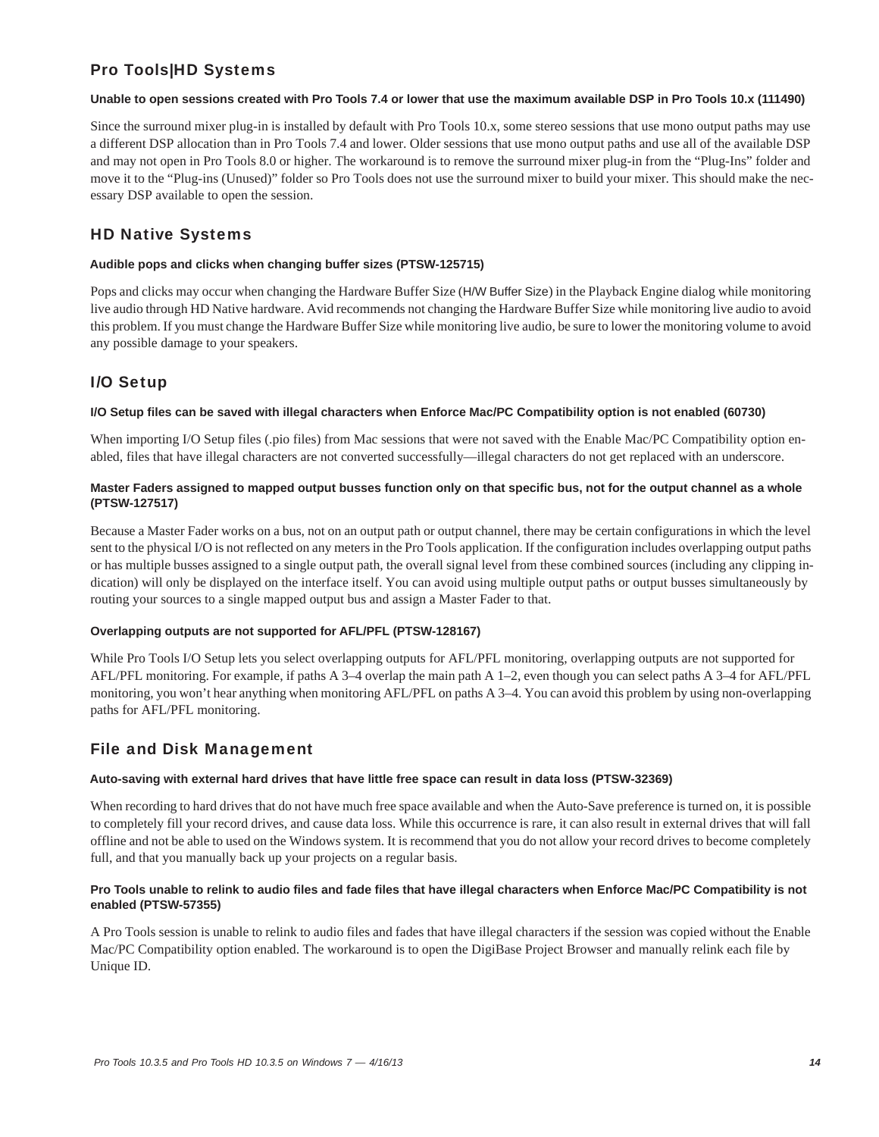# Pro Tools|HD Systems

### **Unable to open sessions created with Pro Tools 7.4 or lower that use the maximum available DSP in Pro Tools 10.x (111490)**

Since the surround mixer plug-in is installed by default with Pro Tools 10.x, some stereo sessions that use mono output paths may use a different DSP allocation than in Pro Tools 7.4 and lower. Older sessions that use mono output paths and use all of the available DSP and may not open in Pro Tools 8.0 or higher. The workaround is to remove the surround mixer plug-in from the "Plug-Ins" folder and move it to the "Plug-ins (Unused)" folder so Pro Tools does not use the surround mixer to build your mixer. This should make the necessary DSP available to open the session.

# HD Native Systems

### **Audible pops and clicks when changing buffer sizes (PTSW-125715)**

Pops and clicks may occur when changing the Hardware Buffer Size (H/W Buffer Size) in the Playback Engine dialog while monitoring live audio through HD Native hardware. Avid recommends not changing the Hardware Buffer Size while monitoring live audio to avoid this problem. If you must change the Hardware Buffer Size while monitoring live audio, be sure to lower the monitoring volume to avoid any possible damage to your speakers.

# I/O Setup

### **I/O Setup files can be saved with illegal characters when Enforce Mac/PC Compatibility option is not enabled (60730)**

When importing I/O Setup files (.pio files) from Mac sessions that were not saved with the Enable Mac/PC Compatibility option enabled, files that have illegal characters are not converted successfully—illegal characters do not get replaced with an underscore.

### **Master Faders assigned to mapped output busses function only on that specific bus, not for the output channel as a whole (PTSW-127517)**

Because a Master Fader works on a bus, not on an output path or output channel, there may be certain configurations in which the level sent to the physical I/O is not reflected on any meters in the Pro Tools application. If the configuration includes overlapping output paths or has multiple busses assigned to a single output path, the overall signal level from these combined sources (including any clipping indication) will only be displayed on the interface itself. You can avoid using multiple output paths or output busses simultaneously by routing your sources to a single mapped output bus and assign a Master Fader to that.

### **Overlapping outputs are not supported for AFL/PFL (PTSW-128167)**

While Pro Tools I/O Setup lets you select overlapping outputs for AFL/PFL monitoring, overlapping outputs are not supported for AFL/PFL monitoring. For example, if paths A 3–4 overlap the main path A 1–2, even though you can select paths A 3–4 for AFL/PFL monitoring, you won't hear anything when monitoring AFL/PFL on paths A 3–4. You can avoid this problem by using non-overlapping paths for AFL/PFL monitoring.

# File and Disk Management

### **Auto-saving with external hard drives that have little free space can result in data loss (PTSW-32369)**

When recording to hard drives that do not have much free space available and when the Auto-Save preference is turned on, it is possible to completely fill your record drives, and cause data loss. While this occurrence is rare, it can also result in external drives that will fall offline and not be able to used on the Windows system. It is recommend that you do not allow your record drives to become completely full, and that you manually back up your projects on a regular basis.

### **Pro Tools unable to relink to audio files and fade files that have illegal characters when Enforce Mac/PC Compatibility is not enabled (PTSW-57355)**

A Pro Tools session is unable to relink to audio files and fades that have illegal characters if the session was copied without the Enable Mac/PC Compatibility option enabled. The workaround is to open the DigiBase Project Browser and manually relink each file by Unique ID.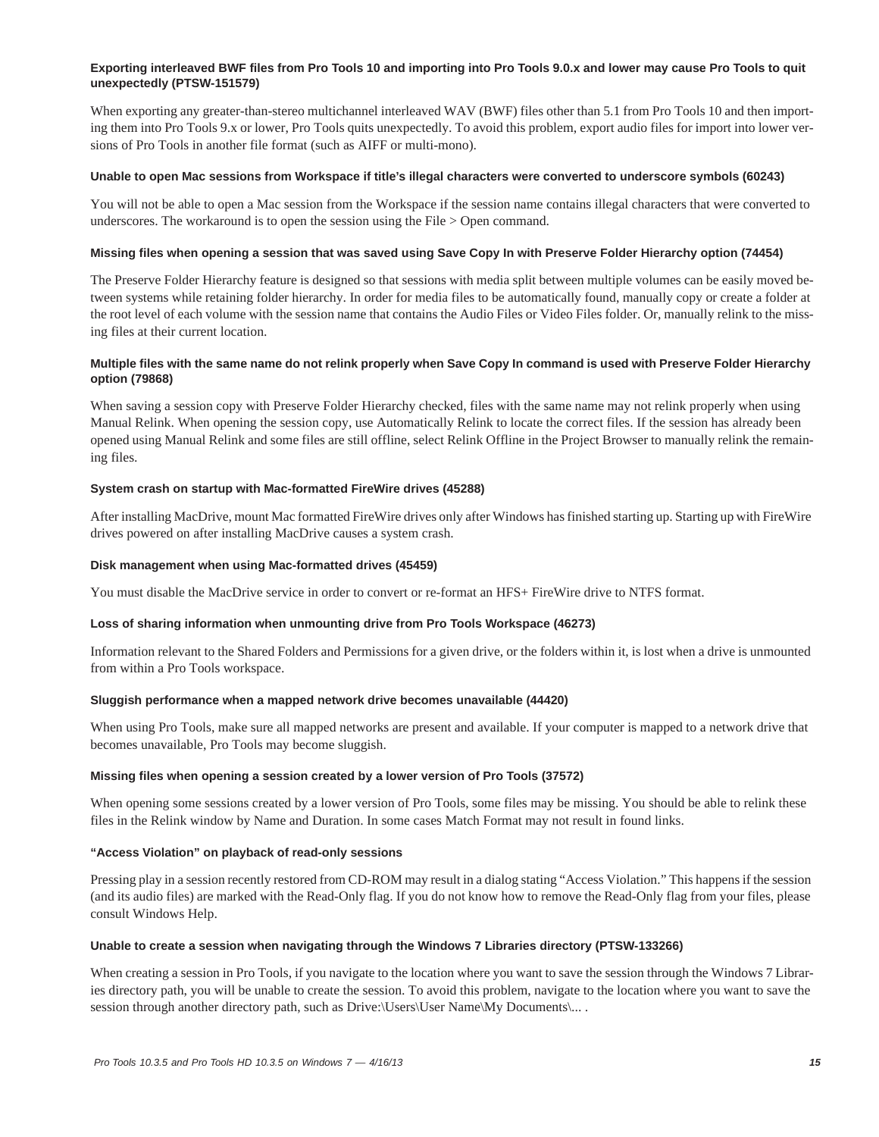### **Exporting interleaved BWF files from Pro Tools 10 and importing into Pro Tools 9.0.x and lower may cause Pro Tools to quit unexpectedly (PTSW-151579)**

When exporting any greater-than-stereo multichannel interleaved WAV (BWF) files other than 5.1 from Pro Tools 10 and then importing them into Pro Tools 9.x or lower, Pro Tools quits unexpectedly. To avoid this problem, export audio files for import into lower versions of Pro Tools in another file format (such as AIFF or multi-mono).

### **Unable to open Mac sessions from Workspace if title's illegal characters were converted to underscore symbols (60243)**

You will not be able to open a Mac session from the Workspace if the session name contains illegal characters that were converted to underscores. The workaround is to open the session using the File > Open command.

### **Missing files when opening a session that was saved using Save Copy In with Preserve Folder Hierarchy option (74454)**

The Preserve Folder Hierarchy feature is designed so that sessions with media split between multiple volumes can be easily moved between systems while retaining folder hierarchy. In order for media files to be automatically found, manually copy or create a folder at the root level of each volume with the session name that contains the Audio Files or Video Files folder. Or, manually relink to the missing files at their current location.

### **Multiple files with the same name do not relink properly when Save Copy In command is used with Preserve Folder Hierarchy option (79868)**

When saving a session copy with Preserve Folder Hierarchy checked, files with the same name may not relink properly when using Manual Relink. When opening the session copy, use Automatically Relink to locate the correct files. If the session has already been opened using Manual Relink and some files are still offline, select Relink Offline in the Project Browser to manually relink the remaining files.

### **System crash on startup with Mac-formatted FireWire drives (45288)**

After installing MacDrive, mount Mac formatted FireWire drives only after Windows has finished starting up. Starting up with FireWire drives powered on after installing MacDrive causes a system crash.

### **Disk management when using Mac-formatted drives (45459)**

You must disable the MacDrive service in order to convert or re-format an HFS+ FireWire drive to NTFS format.

#### **Loss of sharing information when unmounting drive from Pro Tools Workspace (46273)**

Information relevant to the Shared Folders and Permissions for a given drive, or the folders within it, is lost when a drive is unmounted from within a Pro Tools workspace.

#### **Sluggish performance when a mapped network drive becomes unavailable (44420)**

When using Pro Tools, make sure all mapped networks are present and available. If your computer is mapped to a network drive that becomes unavailable, Pro Tools may become sluggish.

#### **Missing files when opening a session created by a lower version of Pro Tools (37572)**

When opening some sessions created by a lower version of Pro Tools, some files may be missing. You should be able to relink these files in the Relink window by Name and Duration. In some cases Match Format may not result in found links.

### **"Access Violation" on playback of read-only sessions**

Pressing play in a session recently restored from CD-ROM may result in a dialog stating "Access Violation." This happens if the session (and its audio files) are marked with the Read-Only flag. If you do not know how to remove the Read-Only flag from your files, please consult Windows Help.

#### **Unable to create a session when navigating through the Windows 7 Libraries directory (PTSW-133266)**

When creating a session in Pro Tools, if you navigate to the location where you want to save the session through the Windows 7 Libraries directory path, you will be unable to create the session. To avoid this problem, navigate to the location where you want to save the session through another directory path, such as Drive:\Users\User Name\My Documents\... .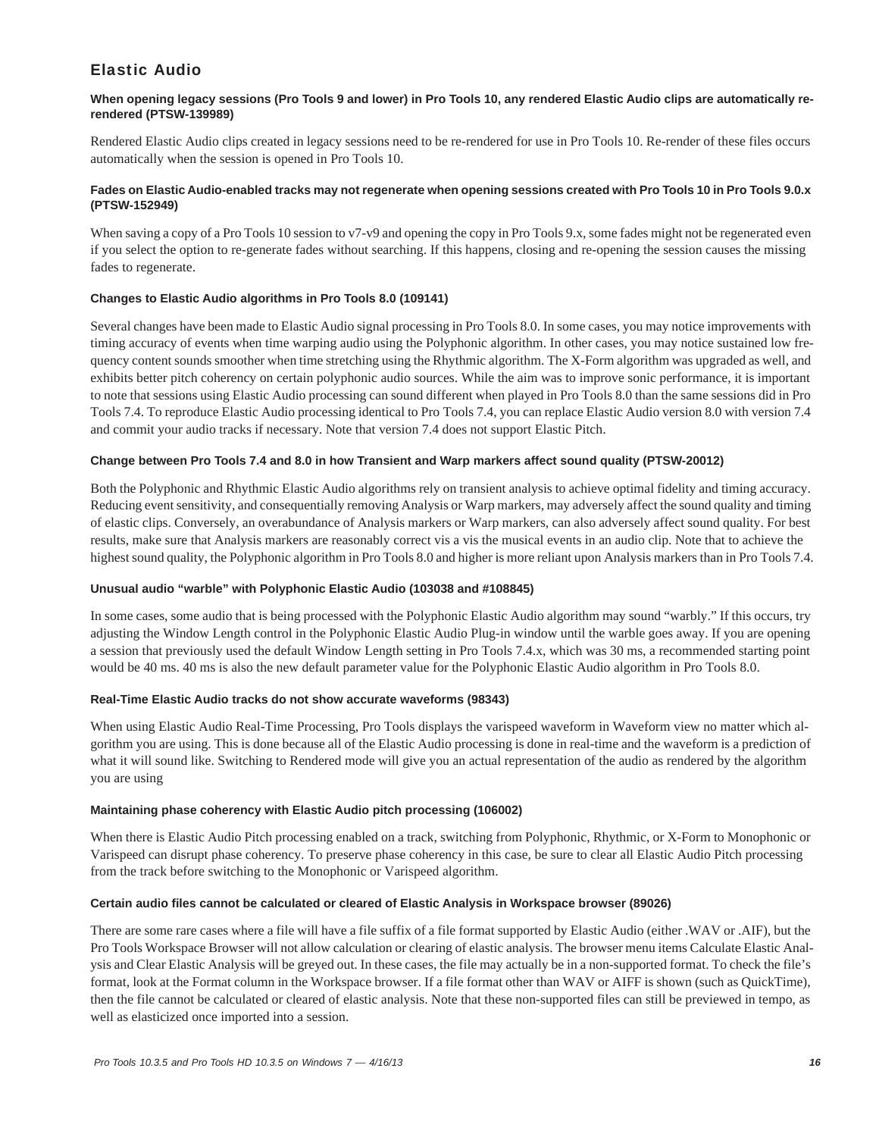# Elastic Audio

### **When opening legacy sessions (Pro Tools 9 and lower) in Pro Tools 10, any rendered Elastic Audio clips are automatically rerendered (PTSW-139989)**

Rendered Elastic Audio clips created in legacy sessions need to be re-rendered for use in Pro Tools 10. Re-render of these files occurs automatically when the session is opened in Pro Tools 10.

### **Fades on Elastic Audio-enabled tracks may not regenerate when opening sessions created with Pro Tools 10 in Pro Tools 9.0.x (PTSW-152949)**

When saving a copy of a Pro Tools 10 session to v7-v9 and opening the copy in Pro Tools 9.x, some fades might not be regenerated even if you select the option to re-generate fades without searching. If this happens, closing and re-opening the session causes the missing fades to regenerate.

### **Changes to Elastic Audio algorithms in Pro Tools 8.0 (109141)**

Several changes have been made to Elastic Audio signal processing in Pro Tools 8.0. In some cases, you may notice improvements with timing accuracy of events when time warping audio using the Polyphonic algorithm. In other cases, you may notice sustained low frequency content sounds smoother when time stretching using the Rhythmic algorithm. The X-Form algorithm was upgraded as well, and exhibits better pitch coherency on certain polyphonic audio sources. While the aim was to improve sonic performance, it is important to note that sessions using Elastic Audio processing can sound different when played in Pro Tools 8.0 than the same sessions did in Pro Tools 7.4. To reproduce Elastic Audio processing identical to Pro Tools 7.4, you can replace Elastic Audio version 8.0 with version 7.4 and commit your audio tracks if necessary. Note that version 7.4 does not support Elastic Pitch.

### **Change between Pro Tools 7.4 and 8.0 in how Transient and Warp markers affect sound quality (PTSW-20012)**

Both the Polyphonic and Rhythmic Elastic Audio algorithms rely on transient analysis to achieve optimal fidelity and timing accuracy. Reducing event sensitivity, and consequentially removing Analysis or Warp markers, may adversely affect the sound quality and timing of elastic clips. Conversely, an overabundance of Analysis markers or Warp markers, can also adversely affect sound quality. For best results, make sure that Analysis markers are reasonably correct vis a vis the musical events in an audio clip. Note that to achieve the highest sound quality, the Polyphonic algorithm in Pro Tools 8.0 and higher is more reliant upon Analysis markers than in Pro Tools 7.4.

### **Unusual audio "warble" with Polyphonic Elastic Audio (103038 and #108845)**

In some cases, some audio that is being processed with the Polyphonic Elastic Audio algorithm may sound "warbly." If this occurs, try adjusting the Window Length control in the Polyphonic Elastic Audio Plug-in window until the warble goes away. If you are opening a session that previously used the default Window Length setting in Pro Tools 7.4.x, which was 30 ms, a recommended starting point would be 40 ms. 40 ms is also the new default parameter value for the Polyphonic Elastic Audio algorithm in Pro Tools 8.0.

### **Real-Time Elastic Audio tracks do not show accurate waveforms (98343)**

When using Elastic Audio Real-Time Processing, Pro Tools displays the varispeed waveform in Waveform view no matter which algorithm you are using. This is done because all of the Elastic Audio processing is done in real-time and the waveform is a prediction of what it will sound like. Switching to Rendered mode will give you an actual representation of the audio as rendered by the algorithm you are using

### **Maintaining phase coherency with Elastic Audio pitch processing (106002)**

When there is Elastic Audio Pitch processing enabled on a track, switching from Polyphonic, Rhythmic, or X-Form to Monophonic or Varispeed can disrupt phase coherency. To preserve phase coherency in this case, be sure to clear all Elastic Audio Pitch processing from the track before switching to the Monophonic or Varispeed algorithm.

### **Certain audio files cannot be calculated or cleared of Elastic Analysis in Workspace browser (89026)**

There are some rare cases where a file will have a file suffix of a file format supported by Elastic Audio (either .WAV or .AIF), but the Pro Tools Workspace Browser will not allow calculation or clearing of elastic analysis. The browser menu items Calculate Elastic Analysis and Clear Elastic Analysis will be greyed out. In these cases, the file may actually be in a non-supported format. To check the file's format, look at the Format column in the Workspace browser. If a file format other than WAV or AIFF is shown (such as QuickTime), then the file cannot be calculated or cleared of elastic analysis. Note that these non-supported files can still be previewed in tempo, as well as elasticized once imported into a session.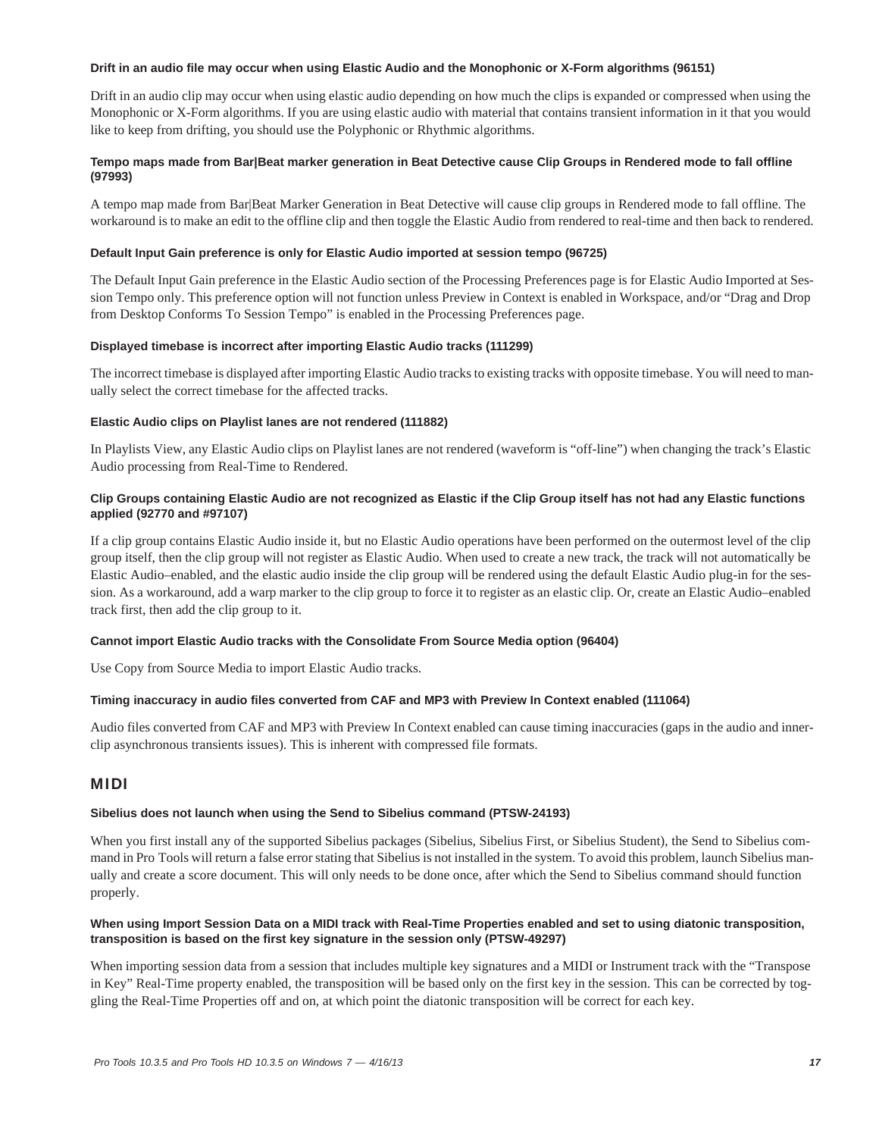### **Drift in an audio file may occur when using Elastic Audio and the Monophonic or X-Form algorithms (96151)**

Drift in an audio clip may occur when using elastic audio depending on how much the clips is expanded or compressed when using the Monophonic or X-Form algorithms. If you are using elastic audio with material that contains transient information in it that you would like to keep from drifting, you should use the Polyphonic or Rhythmic algorithms.

### **Tempo maps made from Bar|Beat marker generation in Beat Detective cause Clip Groups in Rendered mode to fall offline (97993)**

A tempo map made from Bar|Beat Marker Generation in Beat Detective will cause clip groups in Rendered mode to fall offline. The workaround is to make an edit to the offline clip and then toggle the Elastic Audio from rendered to real-time and then back to rendered.

### **Default Input Gain preference is only for Elastic Audio imported at session tempo (96725)**

The Default Input Gain preference in the Elastic Audio section of the Processing Preferences page is for Elastic Audio Imported at Session Tempo only. This preference option will not function unless Preview in Context is enabled in Workspace, and/or "Drag and Drop from Desktop Conforms To Session Tempo" is enabled in the Processing Preferences page.

### **Displayed timebase is incorrect after importing Elastic Audio tracks (111299)**

The incorrect timebase is displayed after importing Elastic Audio tracks to existing tracks with opposite timebase. You will need to manually select the correct timebase for the affected tracks.

### **Elastic Audio clips on Playlist lanes are not rendered (111882)**

In Playlists View, any Elastic Audio clips on Playlist lanes are not rendered (waveform is "off-line") when changing the track's Elastic Audio processing from Real-Time to Rendered.

### **Clip Groups containing Elastic Audio are not recognized as Elastic if the Clip Group itself has not had any Elastic functions applied (92770 and #97107)**

If a clip group contains Elastic Audio inside it, but no Elastic Audio operations have been performed on the outermost level of the clip group itself, then the clip group will not register as Elastic Audio. When used to create a new track, the track will not automatically be Elastic Audio–enabled, and the elastic audio inside the clip group will be rendered using the default Elastic Audio plug-in for the session. As a workaround, add a warp marker to the clip group to force it to register as an elastic clip. Or, create an Elastic Audio–enabled track first, then add the clip group to it.

### **Cannot import Elastic Audio tracks with the Consolidate From Source Media option (96404)**

Use Copy from Source Media to import Elastic Audio tracks.

### **Timing inaccuracy in audio files converted from CAF and MP3 with Preview In Context enabled (111064)**

Audio files converted from CAF and MP3 with Preview In Context enabled can cause timing inaccuracies (gaps in the audio and innerclip asynchronous transients issues). This is inherent with compressed file formats.

### MIDI

#### **Sibelius does not launch when using the Send to Sibelius command (PTSW-24193)**

When you first install any of the supported Sibelius packages (Sibelius, Sibelius First, or Sibelius Student), the Send to Sibelius command in Pro Tools will return a false error stating that Sibelius is not installed in the system. To avoid this problem, launch Sibelius manually and create a score document. This will only needs to be done once, after which the Send to Sibelius command should function properly.

### **When using Import Session Data on a MIDI track with Real-Time Properties enabled and set to using diatonic transposition, transposition is based on the first key signature in the session only (PTSW-49297)**

When importing session data from a session that includes multiple key signatures and a MIDI or Instrument track with the "Transpose in Key" Real-Time property enabled, the transposition will be based only on the first key in the session. This can be corrected by toggling the Real-Time Properties off and on, at which point the diatonic transposition will be correct for each key.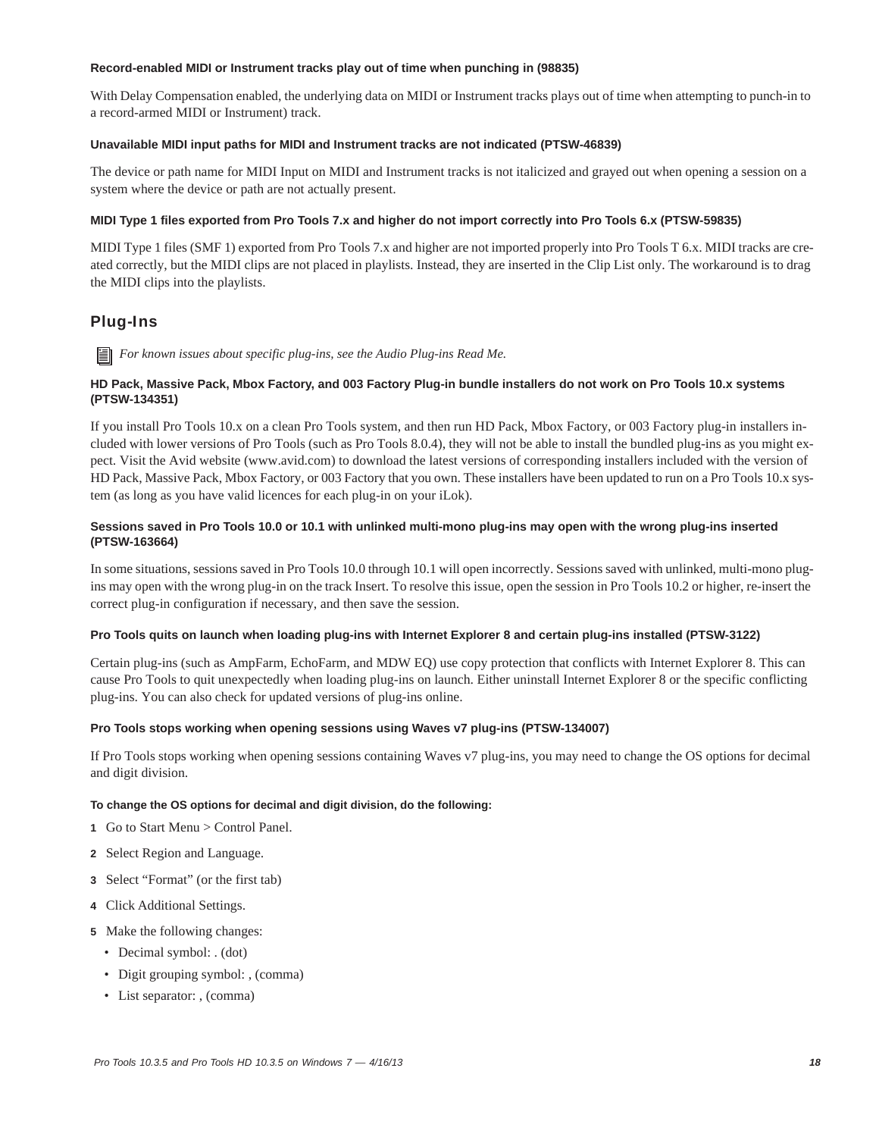### **Record-enabled MIDI or Instrument tracks play out of time when punching in (98835)**

With Delay Compensation enabled, the underlying data on MIDI or Instrument tracks plays out of time when attempting to punch-in to a record-armed MIDI or Instrument) track.

### **Unavailable MIDI input paths for MIDI and Instrument tracks are not indicated (PTSW-46839)**

The device or path name for MIDI Input on MIDI and Instrument tracks is not italicized and grayed out when opening a session on a system where the device or path are not actually present.

### **MIDI Type 1 files exported from Pro Tools 7.x and higher do not import correctly into Pro Tools 6.x (PTSW-59835)**

MIDI Type 1 files (SMF 1) exported from Pro Tools 7.x and higher are not imported properly into Pro Tools T 6.x. MIDI tracks are created correctly, but the MIDI clips are not placed in playlists. Instead, they are inserted in the Clip List only. The workaround is to drag the MIDI clips into the playlists.

# Plug-Ins

*For known issues about specific plug-ins, see the Audio Plug-ins Read Me.*

### **HD Pack, Massive Pack, Mbox Factory, and 003 Factory Plug-in bundle installers do not work on Pro Tools 10.x systems (PTSW-134351)**

If you install Pro Tools 10.x on a clean Pro Tools system, and then run HD Pack, Mbox Factory, or 003 Factory plug-in installers included with lower versions of Pro Tools (such as Pro Tools 8.0.4), they will not be able to install the bundled plug-ins as you might expect. Visit the Avid website (www.avid.com) to download the latest versions of corresponding installers included with the version of HD Pack, Massive Pack, Mbox Factory, or 003 Factory that you own. These installers have been updated to run on a Pro Tools 10.x system (as long as you have valid licences for each plug-in on your iLok).

### **Sessions saved in Pro Tools 10.0 or 10.1 with unlinked multi-mono plug-ins may open with the wrong plug-ins inserted (PTSW-163664)**

In some situations, sessions saved in Pro Tools 10.0 through 10.1 will open incorrectly. Sessions saved with unlinked, multi-mono plugins may open with the wrong plug-in on the track Insert. To resolve this issue, open the session in Pro Tools 10.2 or higher, re-insert the correct plug-in configuration if necessary, and then save the session.

#### **Pro Tools quits on launch when loading plug-ins with Internet Explorer 8 and certain plug-ins installed (PTSW-3122)**

Certain plug-ins (such as AmpFarm, EchoFarm, and MDW EQ) use copy protection that conflicts with Internet Explorer 8. This can cause Pro Tools to quit unexpectedly when loading plug-ins on launch. Either uninstall Internet Explorer 8 or the specific conflicting plug-ins. You can also check for updated versions of plug-ins online.

### **Pro Tools stops working when opening sessions using Waves v7 plug-ins (PTSW-134007)**

If Pro Tools stops working when opening sessions containing Waves v7 plug-ins, you may need to change the OS options for decimal and digit division.

#### **To change the OS options for decimal and digit division, do the following:**

- **1** Go to Start Menu > Control Panel.
- **2** Select Region and Language.
- **3** Select "Format" (or the first tab)
- **4** Click Additional Settings.
- **5** Make the following changes:
	- Decimal symbol: . (dot)
	- Digit grouping symbol: , (comma)
	- List separator: , (comma)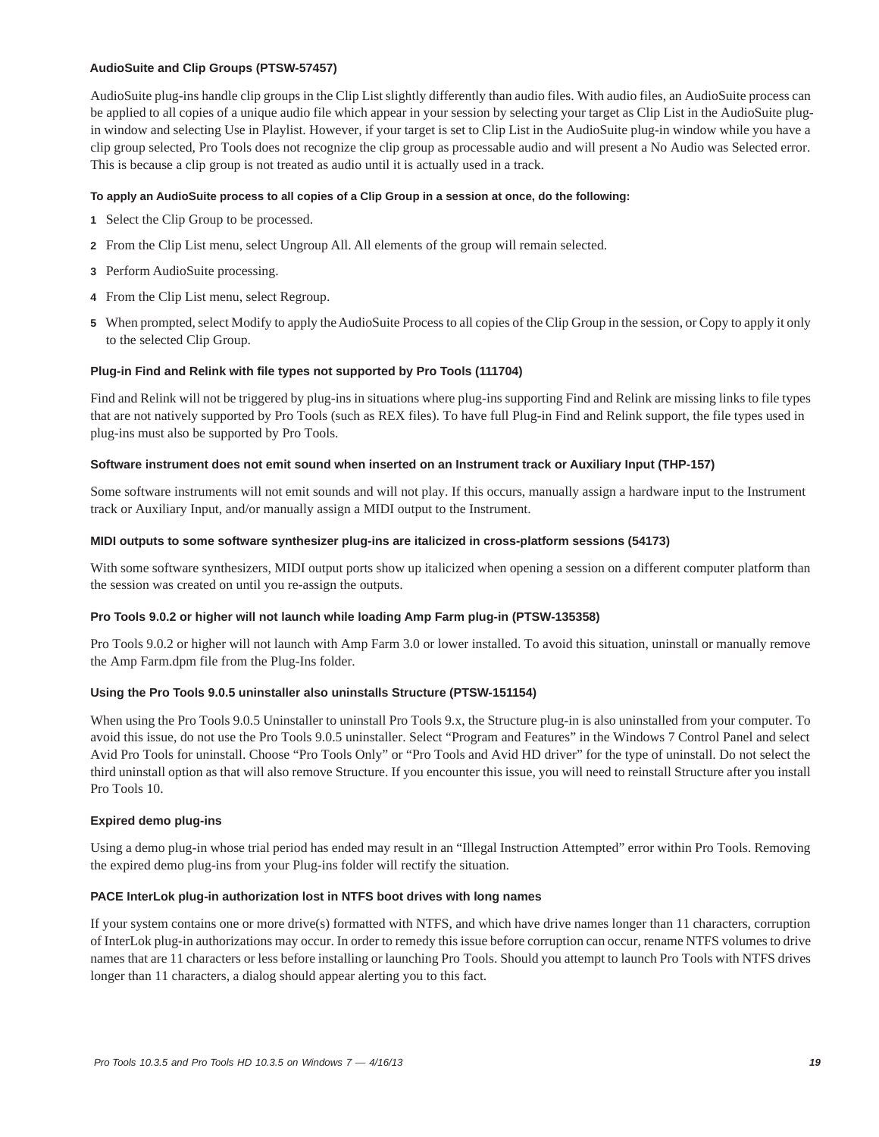### **AudioSuite and Clip Groups (PTSW-57457)**

AudioSuite plug-ins handle clip groups in the Clip List slightly differently than audio files. With audio files, an AudioSuite process can be applied to all copies of a unique audio file which appear in your session by selecting your target as Clip List in the AudioSuite plugin window and selecting Use in Playlist. However, if your target is set to Clip List in the AudioSuite plug-in window while you have a clip group selected, Pro Tools does not recognize the clip group as processable audio and will present a No Audio was Selected error. This is because a clip group is not treated as audio until it is actually used in a track.

### **To apply an AudioSuite process to all copies of a Clip Group in a session at once, do the following:**

- **1** Select the Clip Group to be processed.
- **2** From the Clip List menu, select Ungroup All. All elements of the group will remain selected.
- **3** Perform AudioSuite processing.
- **4** From the Clip List menu, select Regroup.
- **5** When prompted, select Modify to apply the AudioSuite Process to all copies of the Clip Group in the session, or Copy to apply it only to the selected Clip Group.

### **Plug-in Find and Relink with file types not supported by Pro Tools (111704)**

Find and Relink will not be triggered by plug-ins in situations where plug-ins supporting Find and Relink are missing links to file types that are not natively supported by Pro Tools (such as REX files). To have full Plug-in Find and Relink support, the file types used in plug-ins must also be supported by Pro Tools.

#### **Software instrument does not emit sound when inserted on an Instrument track or Auxiliary Input (THP-157)**

Some software instruments will not emit sounds and will not play. If this occurs, manually assign a hardware input to the Instrument track or Auxiliary Input, and/or manually assign a MIDI output to the Instrument.

### **MIDI outputs to some software synthesizer plug-ins are italicized in cross-platform sessions (54173)**

With some software synthesizers, MIDI output ports show up italicized when opening a session on a different computer platform than the session was created on until you re-assign the outputs.

#### **Pro Tools 9.0.2 or higher will not launch while loading Amp Farm plug-in (PTSW-135358)**

Pro Tools 9.0.2 or higher will not launch with Amp Farm 3.0 or lower installed. To avoid this situation, uninstall or manually remove the Amp Farm.dpm file from the Plug-Ins folder.

### **Using the Pro Tools 9.0.5 uninstaller also uninstalls Structure (PTSW-151154)**

When using the Pro Tools 9.0.5 Uninstaller to uninstall Pro Tools 9.x, the Structure plug-in is also uninstalled from your computer. To avoid this issue, do not use the Pro Tools 9.0.5 uninstaller. Select "Program and Features" in the Windows 7 Control Panel and select Avid Pro Tools for uninstall. Choose "Pro Tools Only" or "Pro Tools and Avid HD driver" for the type of uninstall. Do not select the third uninstall option as that will also remove Structure. If you encounter this issue, you will need to reinstall Structure after you install Pro Tools 10.

#### **Expired demo plug-ins**

Using a demo plug-in whose trial period has ended may result in an "Illegal Instruction Attempted" error within Pro Tools. Removing the expired demo plug-ins from your Plug-ins folder will rectify the situation.

#### **PACE InterLok plug-in authorization lost in NTFS boot drives with long names**

If your system contains one or more drive(s) formatted with NTFS, and which have drive names longer than 11 characters, corruption of InterLok plug-in authorizations may occur. In order to remedy this issue before corruption can occur, rename NTFS volumes to drive names that are 11 characters or less before installing or launching Pro Tools. Should you attempt to launch Pro Tools with NTFS drives longer than 11 characters, a dialog should appear alerting you to this fact.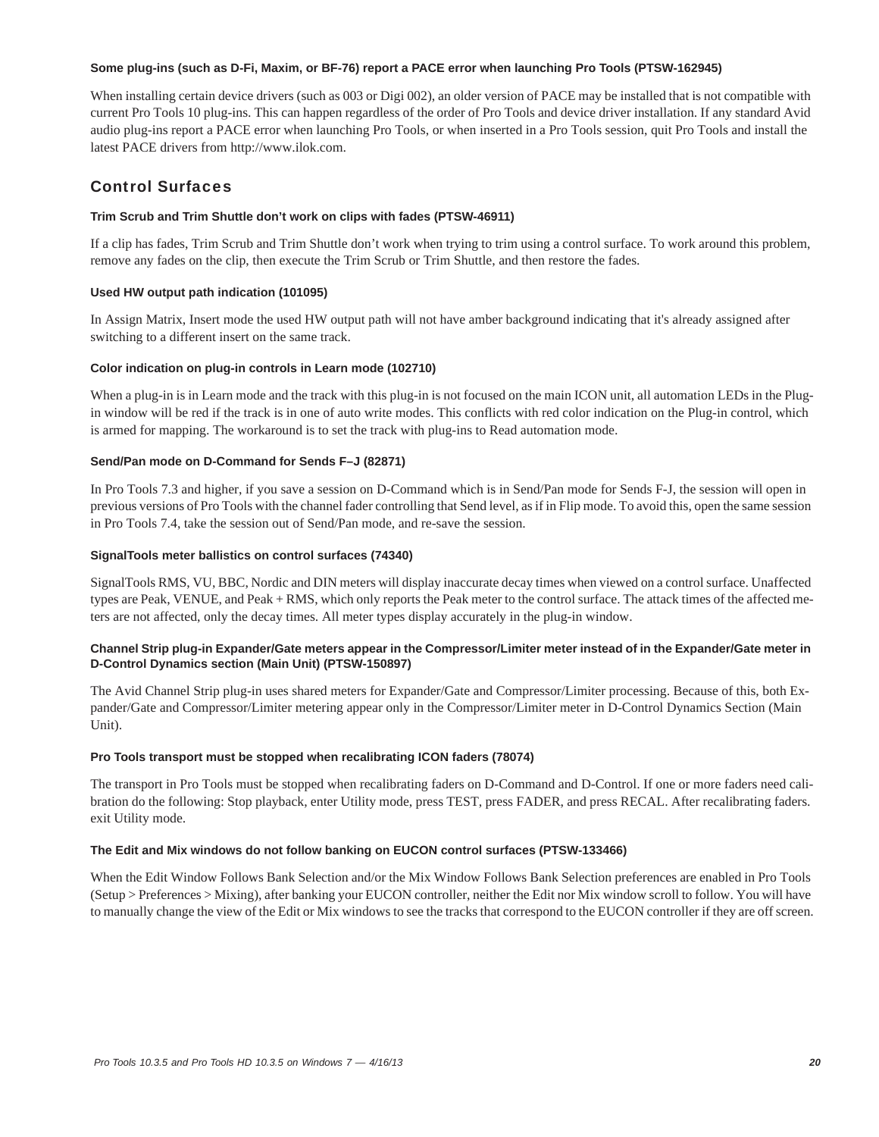### **Some plug-ins (such as D-Fi, Maxim, or BF-76) report a PACE error when launching Pro Tools (PTSW-162945)**

When installing certain device drivers (such as 003 or Digi 002), an older version of PACE may be installed that is not compatible with current Pro Tools 10 plug-ins. This can happen regardless of the order of Pro Tools and device driver installation. If any standard Avid audio plug-ins report a PACE error when launching Pro Tools, or when inserted in a Pro Tools session, quit Pro Tools and install the latest PACE drivers from http://www.ilok.com.

# Control Surfaces

### **Trim Scrub and Trim Shuttle don't work on clips with fades (PTSW-46911)**

If a clip has fades, Trim Scrub and Trim Shuttle don't work when trying to trim using a control surface. To work around this problem, remove any fades on the clip, then execute the Trim Scrub or Trim Shuttle, and then restore the fades.

### **Used HW output path indication (101095)**

In Assign Matrix, Insert mode the used HW output path will not have amber background indicating that it's already assigned after switching to a different insert on the same track.

### **Color indication on plug-in controls in Learn mode (102710)**

When a plug-in is in Learn mode and the track with this plug-in is not focused on the main ICON unit, all automation LEDs in the Plugin window will be red if the track is in one of auto write modes. This conflicts with red color indication on the Plug-in control, which is armed for mapping. The workaround is to set the track with plug-ins to Read automation mode.

### **Send/Pan mode on D-Command for Sends F–J (82871)**

In Pro Tools 7.3 and higher, if you save a session on D-Command which is in Send/Pan mode for Sends F-J, the session will open in previous versions of Pro Tools with the channel fader controlling that Send level, as if in Flip mode. To avoid this, open the same session in Pro Tools 7.4, take the session out of Send/Pan mode, and re-save the session.

### **SignalTools meter ballistics on control surfaces (74340)**

SignalTools RMS, VU, BBC, Nordic and DIN meters will display inaccurate decay times when viewed on a control surface. Unaffected types are Peak, VENUE, and Peak + RMS, which only reports the Peak meter to the control surface. The attack times of the affected meters are not affected, only the decay times. All meter types display accurately in the plug-in window.

### **Channel Strip plug-in Expander/Gate meters appear in the Compressor/Limiter meter instead of in the Expander/Gate meter in D-Control Dynamics section (Main Unit) (PTSW-150897)**

The Avid Channel Strip plug-in uses shared meters for Expander/Gate and Compressor/Limiter processing. Because of this, both Expander/Gate and Compressor/Limiter metering appear only in the Compressor/Limiter meter in D-Control Dynamics Section (Main Unit).

### **Pro Tools transport must be stopped when recalibrating ICON faders (78074)**

The transport in Pro Tools must be stopped when recalibrating faders on D-Command and D-Control. If one or more faders need calibration do the following: Stop playback, enter Utility mode, press TEST, press FADER, and press RECAL. After recalibrating faders. exit Utility mode.

### **The Edit and Mix windows do not follow banking on EUCON control surfaces (PTSW-133466)**

When the Edit Window Follows Bank Selection and/or the Mix Window Follows Bank Selection preferences are enabled in Pro Tools (Setup > Preferences > Mixing), after banking your EUCON controller, neither the Edit nor Mix window scroll to follow. You will have to manually change the view of the Edit or Mix windows to see the tracks that correspond to the EUCON controller if they are off screen.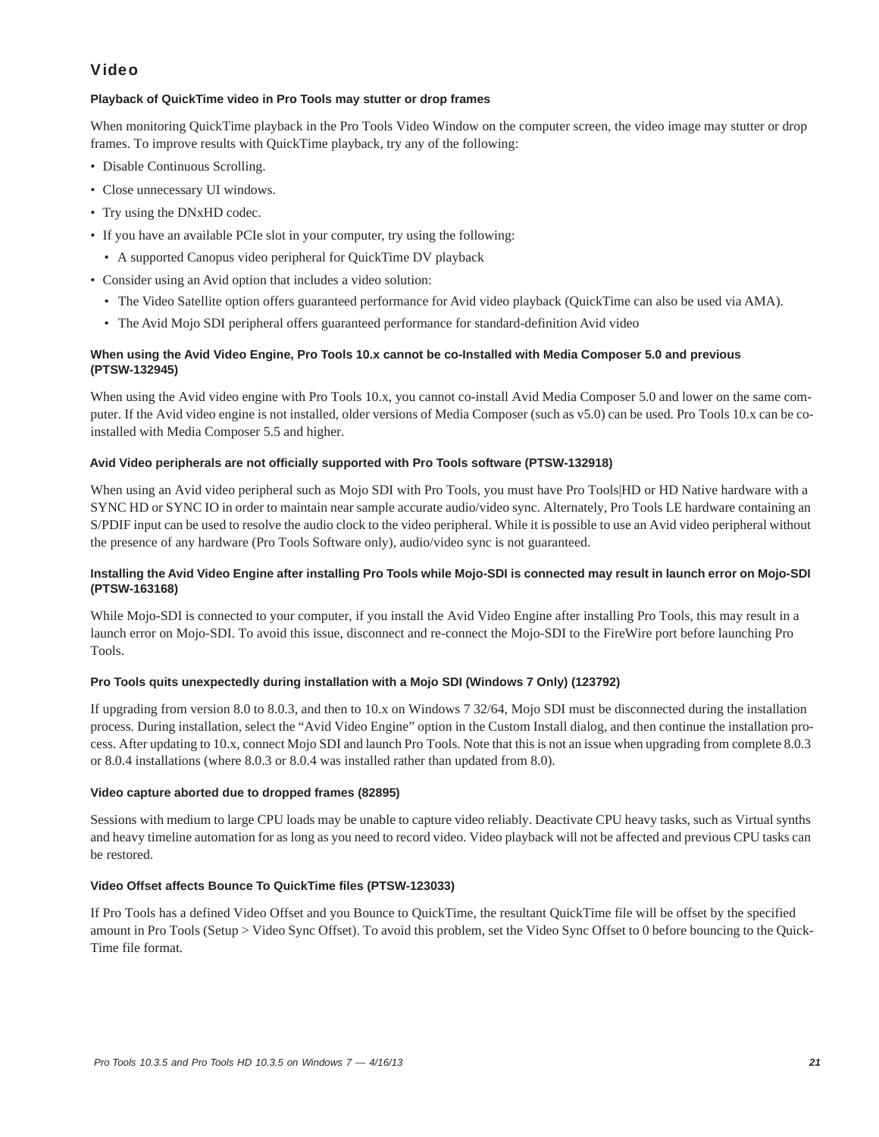# Video

### **Playback of QuickTime video in Pro Tools may stutter or drop frames**

When monitoring QuickTime playback in the Pro Tools Video Window on the computer screen, the video image may stutter or drop frames. To improve results with QuickTime playback, try any of the following:

- Disable Continuous Scrolling.
- Close unnecessary UI windows.
- Try using the DNxHD codec.
- If you have an available PCIe slot in your computer, try using the following:
- A supported Canopus video peripheral for QuickTime DV playback
- Consider using an Avid option that includes a video solution:
	- The Video Satellite option offers guaranteed performance for Avid video playback (QuickTime can also be used via AMA).
	- The Avid Mojo SDI peripheral offers guaranteed performance for standard-definition Avid video

### **When using the Avid Video Engine, Pro Tools 10.x cannot be co-Installed with Media Composer 5.0 and previous (PTSW-132945)**

When using the Avid video engine with Pro Tools 10.x, you cannot co-install Avid Media Composer 5.0 and lower on the same computer. If the Avid video engine is not installed, older versions of Media Composer (such as v5.0) can be used. Pro Tools 10.x can be coinstalled with Media Composer 5.5 and higher.

### **Avid Video peripherals are not officially supported with Pro Tools software (PTSW-132918)**

When using an Avid video peripheral such as Mojo SDI with Pro Tools, you must have Pro Tools|HD or HD Native hardware with a SYNC HD or SYNC IO in order to maintain near sample accurate audio/video sync. Alternately, Pro Tools LE hardware containing an S/PDIF input can be used to resolve the audio clock to the video peripheral. While it is possible to use an Avid video peripheral without the presence of any hardware (Pro Tools Software only), audio/video sync is not guaranteed.

### **Installing the Avid Video Engine after installing Pro Tools while Mojo-SDI is connected may result in launch error on Mojo-SDI (PTSW-163168)**

While Mojo-SDI is connected to your computer, if you install the Avid Video Engine after installing Pro Tools, this may result in a launch error on Mojo-SDI. To avoid this issue, disconnect and re-connect the Mojo-SDI to the FireWire port before launching Pro Tools.

### **Pro Tools quits unexpectedly during installation with a Mojo SDI (Windows 7 Only) (123792)**

If upgrading from version 8.0 to 8.0.3, and then to 10.x on Windows 7 32/64, Mojo SDI must be disconnected during the installation process. During installation, select the "Avid Video Engine" option in the Custom Install dialog, and then continue the installation process. After updating to 10.x, connect Mojo SDI and launch Pro Tools. Note that this is not an issue when upgrading from complete 8.0.3 or 8.0.4 installations (where 8.0.3 or 8.0.4 was installed rather than updated from 8.0).

### **Video capture aborted due to dropped frames (82895)**

Sessions with medium to large CPU loads may be unable to capture video reliably. Deactivate CPU heavy tasks, such as Virtual synths and heavy timeline automation for as long as you need to record video. Video playback will not be affected and previous CPU tasks can be restored.

### **Video Offset affects Bounce To QuickTime files (PTSW-123033)**

If Pro Tools has a defined Video Offset and you Bounce to QuickTime, the resultant QuickTime file will be offset by the specified amount in Pro Tools (Setup > Video Sync Offset). To avoid this problem, set the Video Sync Offset to 0 before bouncing to the Quick-Time file format.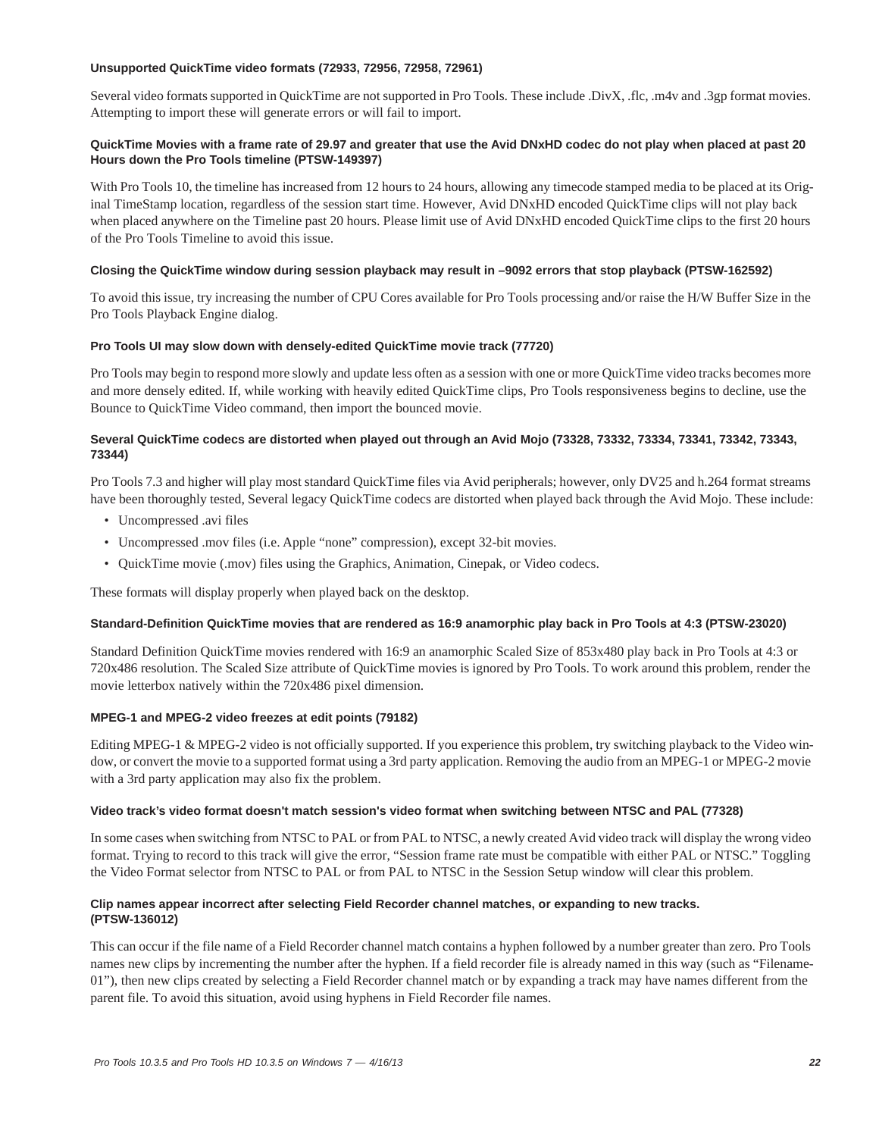### **Unsupported QuickTime video formats (72933, 72956, 72958, 72961)**

Several video formats supported in QuickTime are not supported in Pro Tools. These include .DivX, .flc, .m4v and .3gp format movies. Attempting to import these will generate errors or will fail to import.

### **QuickTime Movies with a frame rate of 29.97 and greater that use the Avid DNxHD codec do not play when placed at past 20 Hours down the Pro Tools timeline (PTSW-149397)**

With Pro Tools 10, the timeline has increased from 12 hours to 24 hours, allowing any timecode stamped media to be placed at its Original TimeStamp location, regardless of the session start time. However, Avid DNxHD encoded QuickTime clips will not play back when placed anywhere on the Timeline past 20 hours. Please limit use of Avid DNxHD encoded QuickTime clips to the first 20 hours of the Pro Tools Timeline to avoid this issue.

### **Closing the QuickTime window during session playback may result in –9092 errors that stop playback (PTSW-162592)**

To avoid this issue, try increasing the number of CPU Cores available for Pro Tools processing and/or raise the H/W Buffer Size in the Pro Tools Playback Engine dialog.

### **Pro Tools UI may slow down with densely-edited QuickTime movie track (77720)**

Pro Tools may begin to respond more slowly and update less often as a session with one or more QuickTime video tracks becomes more and more densely edited. If, while working with heavily edited QuickTime clips, Pro Tools responsiveness begins to decline, use the Bounce to QuickTime Video command, then import the bounced movie.

### **Several QuickTime codecs are distorted when played out through an Avid Mojo (73328, 73332, 73334, 73341, 73342, 73343, 73344)**

Pro Tools 7.3 and higher will play most standard QuickTime files via Avid peripherals; however, only DV25 and h.264 format streams have been thoroughly tested, Several legacy QuickTime codecs are distorted when played back through the Avid Mojo. These include:

- Uncompressed .avi files
- Uncompressed .mov files (i.e. Apple "none" compression), except 32-bit movies.
- QuickTime movie (.mov) files using the Graphics, Animation, Cinepak, or Video codecs.

These formats will display properly when played back on the desktop.

### **Standard-Definition QuickTime movies that are rendered as 16:9 anamorphic play back in Pro Tools at 4:3 (PTSW-23020)**

Standard Definition QuickTime movies rendered with 16:9 an anamorphic Scaled Size of 853x480 play back in Pro Tools at 4:3 or 720x486 resolution. The Scaled Size attribute of QuickTime movies is ignored by Pro Tools. To work around this problem, render the movie letterbox natively within the 720x486 pixel dimension.

### **MPEG-1 and MPEG-2 video freezes at edit points (79182)**

Editing MPEG-1 & MPEG-2 video is not officially supported. If you experience this problem, try switching playback to the Video window, or convert the movie to a supported format using a 3rd party application. Removing the audio from an MPEG-1 or MPEG-2 movie with a 3rd party application may also fix the problem.

### **Video track's video format doesn't match session's video format when switching between NTSC and PAL (77328)**

In some cases when switching from NTSC to PAL or from PAL to NTSC, a newly created Avid video track will display the wrong video format. Trying to record to this track will give the error, "Session frame rate must be compatible with either PAL or NTSC." Toggling the Video Format selector from NTSC to PAL or from PAL to NTSC in the Session Setup window will clear this problem.

### **Clip names appear incorrect after selecting Field Recorder channel matches, or expanding to new tracks. (PTSW-136012)**

This can occur if the file name of a Field Recorder channel match contains a hyphen followed by a number greater than zero. Pro Tools names new clips by incrementing the number after the hyphen. If a field recorder file is already named in this way (such as "Filename-01"), then new clips created by selecting a Field Recorder channel match or by expanding a track may have names different from the parent file. To avoid this situation, avoid using hyphens in Field Recorder file names.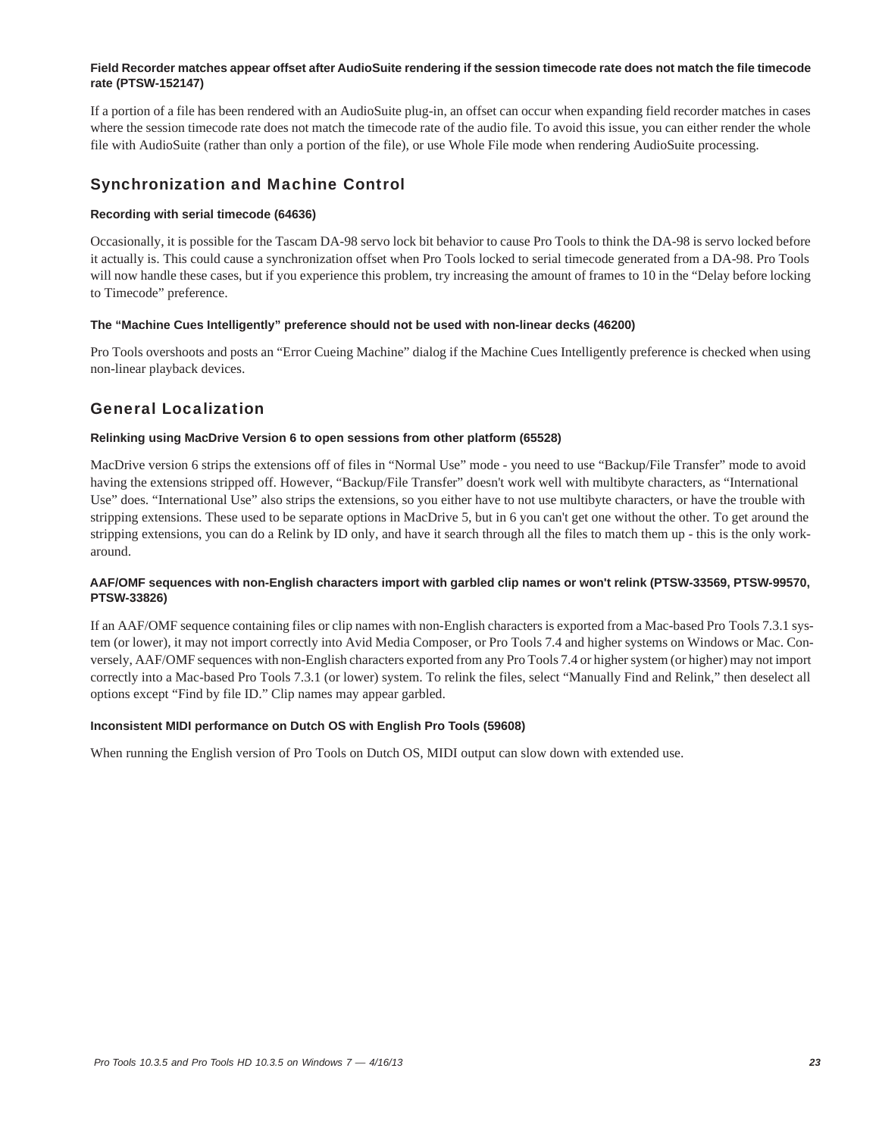### **Field Recorder matches appear offset after AudioSuite rendering if the session timecode rate does not match the file timecode rate (PTSW-152147)**

If a portion of a file has been rendered with an AudioSuite plug-in, an offset can occur when expanding field recorder matches in cases where the session timecode rate does not match the timecode rate of the audio file. To avoid this issue, you can either render the whole file with AudioSuite (rather than only a portion of the file), or use Whole File mode when rendering AudioSuite processing.

# Synchronization and Machine Control

### **Recording with serial timecode (64636)**

Occasionally, it is possible for the Tascam DA-98 servo lock bit behavior to cause Pro Tools to think the DA-98 is servo locked before it actually is. This could cause a synchronization offset when Pro Tools locked to serial timecode generated from a DA-98. Pro Tools will now handle these cases, but if you experience this problem, try increasing the amount of frames to 10 in the "Delay before locking to Timecode" preference.

### **The "Machine Cues Intelligently" preference should not be used with non-linear decks (46200)**

Pro Tools overshoots and posts an "Error Cueing Machine" dialog if the Machine Cues Intelligently preference is checked when using non-linear playback devices.

# General Localization

### **Relinking using MacDrive Version 6 to open sessions from other platform (65528)**

MacDrive version 6 strips the extensions off of files in "Normal Use" mode - you need to use "Backup/File Transfer" mode to avoid having the extensions stripped off. However, "Backup/File Transfer" doesn't work well with multibyte characters, as "International Use" does. "International Use" also strips the extensions, so you either have to not use multibyte characters, or have the trouble with stripping extensions. These used to be separate options in MacDrive 5, but in 6 you can't get one without the other. To get around the stripping extensions, you can do a Relink by ID only, and have it search through all the files to match them up - this is the only workaround.

### **AAF/OMF sequences with non-English characters import with garbled clip names or won't relink (PTSW-33569, PTSW-99570, PTSW-33826)**

If an AAF/OMF sequence containing files or clip names with non-English characters is exported from a Mac-based Pro Tools 7.3.1 system (or lower), it may not import correctly into Avid Media Composer, or Pro Tools 7.4 and higher systems on Windows or Mac. Conversely, AAF/OMF sequences with non-English characters exported from any Pro Tools 7.4 or higher system (or higher) may not import correctly into a Mac-based Pro Tools 7.3.1 (or lower) system. To relink the files, select "Manually Find and Relink," then deselect all options except "Find by file ID." Clip names may appear garbled.

### **Inconsistent MIDI performance on Dutch OS with English Pro Tools (59608)**

When running the English version of Pro Tools on Dutch OS, MIDI output can slow down with extended use.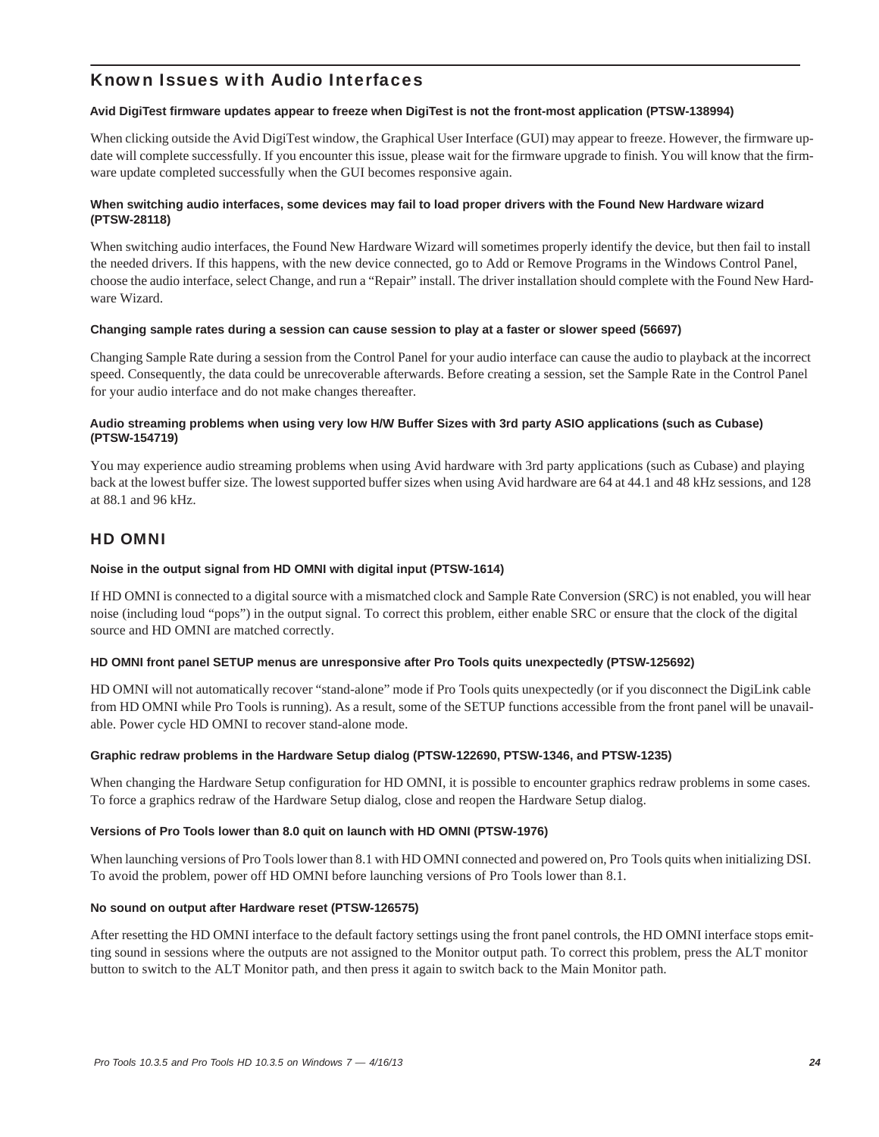# Known Issues with Audio Interfaces

### **Avid DigiTest firmware updates appear to freeze when DigiTest is not the front-most application (PTSW-138994)**

When clicking outside the Avid DigiTest window, the Graphical User Interface (GUI) may appear to freeze. However, the firmware update will complete successfully. If you encounter this issue, please wait for the firmware upgrade to finish. You will know that the firmware update completed successfully when the GUI becomes responsive again.

### **When switching audio interfaces, some devices may fail to load proper drivers with the Found New Hardware wizard (PTSW-28118)**

When switching audio interfaces, the Found New Hardware Wizard will sometimes properly identify the device, but then fail to install the needed drivers. If this happens, with the new device connected, go to Add or Remove Programs in the Windows Control Panel, choose the audio interface, select Change, and run a "Repair" install. The driver installation should complete with the Found New Hardware Wizard.

### **Changing sample rates during a session can cause session to play at a faster or slower speed (56697)**

Changing Sample Rate during a session from the Control Panel for your audio interface can cause the audio to playback at the incorrect speed. Consequently, the data could be unrecoverable afterwards. Before creating a session, set the Sample Rate in the Control Panel for your audio interface and do not make changes thereafter.

### **Audio streaming problems when using very low H/W Buffer Sizes with 3rd party ASIO applications (such as Cubase) (PTSW-154719)**

You may experience audio streaming problems when using Avid hardware with 3rd party applications (such as Cubase) and playing back at the lowest buffer size. The lowest supported buffer sizes when using Avid hardware are 64 at 44.1 and 48 kHz sessions, and 128 at 88.1 and 96 kHz.

# HD OMNI

### **Noise in the output signal from HD OMNI with digital input (PTSW-1614)**

If HD OMNI is connected to a digital source with a mismatched clock and Sample Rate Conversion (SRC) is not enabled, you will hear noise (including loud "pops") in the output signal. To correct this problem, either enable SRC or ensure that the clock of the digital source and HD OMNI are matched correctly.

### **HD OMNI front panel SETUP menus are unresponsive after Pro Tools quits unexpectedly (PTSW-125692)**

HD OMNI will not automatically recover "stand-alone" mode if Pro Tools quits unexpectedly (or if you disconnect the DigiLink cable from HD OMNI while Pro Tools is running). As a result, some of the SETUP functions accessible from the front panel will be unavailable. Power cycle HD OMNI to recover stand-alone mode.

### **Graphic redraw problems in the Hardware Setup dialog (PTSW-122690, PTSW-1346, and PTSW-1235)**

When changing the Hardware Setup configuration for HD OMNI, it is possible to encounter graphics redraw problems in some cases. To force a graphics redraw of the Hardware Setup dialog, close and reopen the Hardware Setup dialog.

### **Versions of Pro Tools lower than 8.0 quit on launch with HD OMNI (PTSW-1976)**

When launching versions of Pro Tools lower than 8.1 with HD OMNI connected and powered on, Pro Tools quits when initializing DSI. To avoid the problem, power off HD OMNI before launching versions of Pro Tools lower than 8.1.

#### **No sound on output after Hardware reset (PTSW-126575)**

After resetting the HD OMNI interface to the default factory settings using the front panel controls, the HD OMNI interface stops emitting sound in sessions where the outputs are not assigned to the Monitor output path. To correct this problem, press the ALT monitor button to switch to the ALT Monitor path, and then press it again to switch back to the Main Monitor path.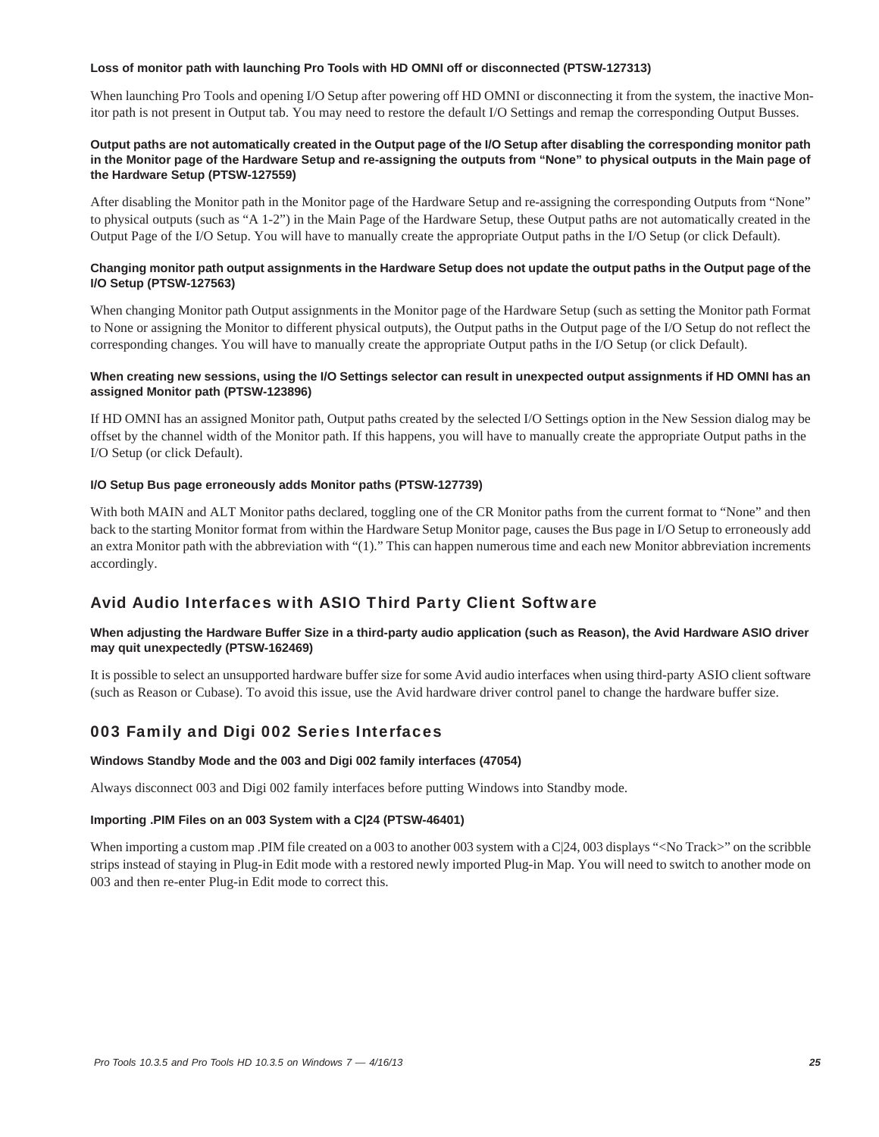### **Loss of monitor path with launching Pro Tools with HD OMNI off or disconnected (PTSW-127313)**

When launching Pro Tools and opening I/O Setup after powering off HD OMNI or disconnecting it from the system, the inactive Monitor path is not present in Output tab. You may need to restore the default I/O Settings and remap the corresponding Output Busses.

### **Output paths are not automatically created in the Output page of the I/O Setup after disabling the corresponding monitor path in the Monitor page of the Hardware Setup and re-assigning the outputs from "None" to physical outputs in the Main page of the Hardware Setup (PTSW-127559)**

After disabling the Monitor path in the Monitor page of the Hardware Setup and re-assigning the corresponding Outputs from "None" to physical outputs (such as "A 1-2") in the Main Page of the Hardware Setup, these Output paths are not automatically created in the Output Page of the I/O Setup. You will have to manually create the appropriate Output paths in the I/O Setup (or click Default).

### **Changing monitor path output assignments in the Hardware Setup does not update the output paths in the Output page of the I/O Setup (PTSW-127563)**

When changing Monitor path Output assignments in the Monitor page of the Hardware Setup (such as setting the Monitor path Format to None or assigning the Monitor to different physical outputs), the Output paths in the Output page of the I/O Setup do not reflect the corresponding changes. You will have to manually create the appropriate Output paths in the I/O Setup (or click Default).

### When creating new sessions, using the I/O Settings selector can result in unexpected output assignments if HD OMNI has an **assigned Monitor path (PTSW-123896)**

If HD OMNI has an assigned Monitor path, Output paths created by the selected I/O Settings option in the New Session dialog may be offset by the channel width of the Monitor path. If this happens, you will have to manually create the appropriate Output paths in the I/O Setup (or click Default).

### **I/O Setup Bus page erroneously adds Monitor paths (PTSW-127739)**

With both MAIN and ALT Monitor paths declared, toggling one of the CR Monitor paths from the current format to "None" and then back to the starting Monitor format from within the Hardware Setup Monitor page, causes the Bus page in I/O Setup to erroneously add an extra Monitor path with the abbreviation with "(1)." This can happen numerous time and each new Monitor abbreviation increments accordingly.

# Avid Audio Interfaces with ASIO Third Party Client Software

### **When adjusting the Hardware Buffer Size in a third-party audio application (such as Reason), the Avid Hardware ASIO driver may quit unexpectedly (PTSW-162469)**

It is possible to select an unsupported hardware buffer size for some Avid audio interfaces when using third-party ASIO client software (such as Reason or Cubase). To avoid this issue, use the Avid hardware driver control panel to change the hardware buffer size.

# 003 Family and Digi 002 Series Interfaces

#### **Windows Standby Mode and the 003 and Digi 002 family interfaces (47054)**

Always disconnect 003 and Digi 002 family interfaces before putting Windows into Standby mode.

### **Importing .PIM Files on an 003 System with a C|24 (PTSW-46401)**

When importing a custom map .PIM file created on a 003 to another 003 system with a C|24, 003 displays "<No Track>" on the scribble strips instead of staying in Plug-in Edit mode with a restored newly imported Plug-in Map. You will need to switch to another mode on 003 and then re-enter Plug-in Edit mode to correct this.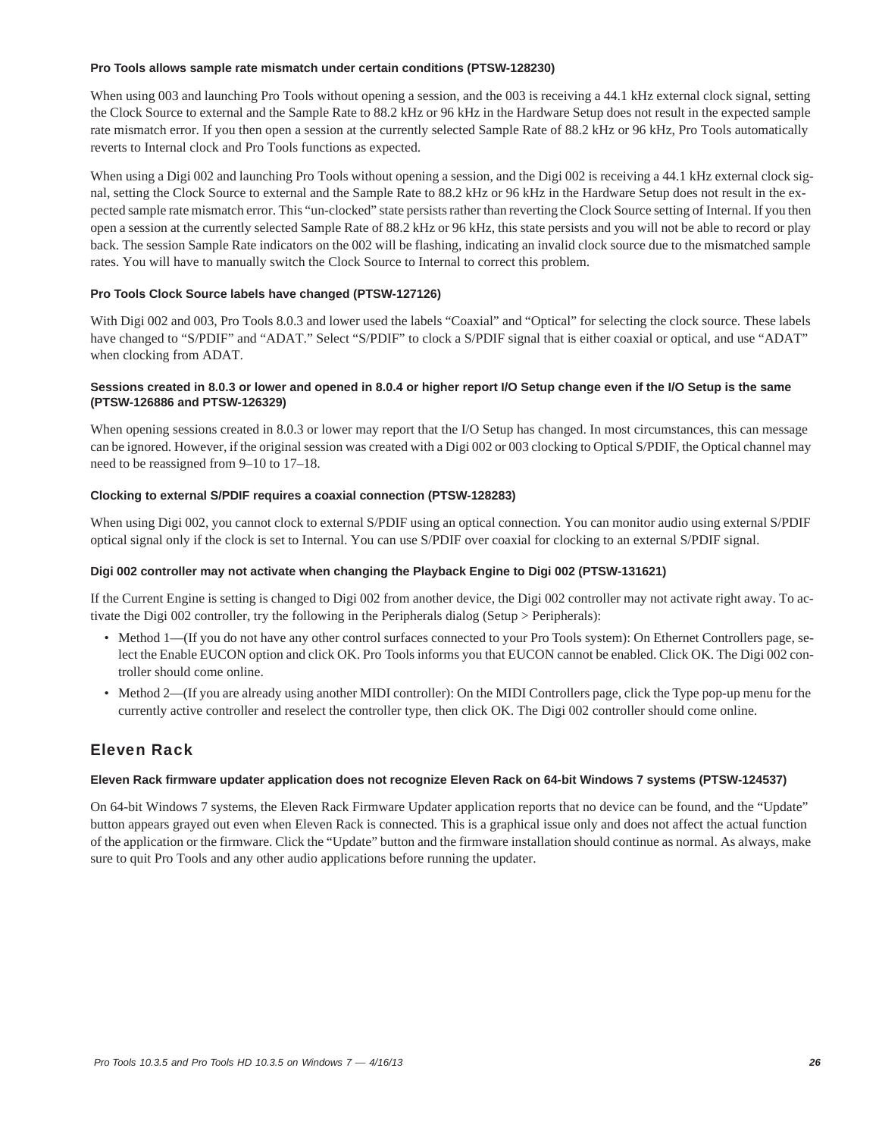### **Pro Tools allows sample rate mismatch under certain conditions (PTSW-128230)**

When using 003 and launching Pro Tools without opening a session, and the 003 is receiving a 44.1 kHz external clock signal, setting the Clock Source to external and the Sample Rate to 88.2 kHz or 96 kHz in the Hardware Setup does not result in the expected sample rate mismatch error. If you then open a session at the currently selected Sample Rate of 88.2 kHz or 96 kHz, Pro Tools automatically reverts to Internal clock and Pro Tools functions as expected.

When using a Digi 002 and launching Pro Tools without opening a session, and the Digi 002 is receiving a 44.1 kHz external clock signal, setting the Clock Source to external and the Sample Rate to 88.2 kHz or 96 kHz in the Hardware Setup does not result in the expected sample rate mismatch error. This "un-clocked" state persists rather than reverting the Clock Source setting of Internal. If you then open a session at the currently selected Sample Rate of 88.2 kHz or 96 kHz, this state persists and you will not be able to record or play back. The session Sample Rate indicators on the 002 will be flashing, indicating an invalid clock source due to the mismatched sample rates. You will have to manually switch the Clock Source to Internal to correct this problem.

### **Pro Tools Clock Source labels have changed (PTSW-127126)**

With Digi 002 and 003, Pro Tools 8.0.3 and lower used the labels "Coaxial" and "Optical" for selecting the clock source. These labels have changed to "S/PDIF" and "ADAT." Select "S/PDIF" to clock a S/PDIF signal that is either coaxial or optical, and use "ADAT" when clocking from ADAT.

### **Sessions created in 8.0.3 or lower and opened in 8.0.4 or higher report I/O Setup change even if the I/O Setup is the same (PTSW-126886 and PTSW-126329)**

When opening sessions created in 8.0.3 or lower may report that the I/O Setup has changed. In most circumstances, this can message can be ignored. However, if the original session was created with a Digi 002 or 003 clocking to Optical S/PDIF, the Optical channel may need to be reassigned from 9–10 to 17–18.

### **Clocking to external S/PDIF requires a coaxial connection (PTSW-128283)**

When using Digi 002, you cannot clock to external S/PDIF using an optical connection. You can monitor audio using external S/PDIF optical signal only if the clock is set to Internal. You can use S/PDIF over coaxial for clocking to an external S/PDIF signal.

### **Digi 002 controller may not activate when changing the Playback Engine to Digi 002 (PTSW-131621)**

If the Current Engine is setting is changed to Digi 002 from another device, the Digi 002 controller may not activate right away. To activate the Digi 002 controller, try the following in the Peripherals dialog (Setup > Peripherals):

- Method 1—(If you do not have any other control surfaces connected to your Pro Tools system): On Ethernet Controllers page, select the Enable EUCON option and click OK. Pro Tools informs you that EUCON cannot be enabled. Click OK. The Digi 002 controller should come online.
- Method 2—(If you are already using another MIDI controller): On the MIDI Controllers page, click the Type pop-up menu for the currently active controller and reselect the controller type, then click OK. The Digi 002 controller should come online.

# Eleven Rack

### **Eleven Rack firmware updater application does not recognize Eleven Rack on 64-bit Windows 7 systems (PTSW-124537)**

On 64-bit Windows 7 systems, the Eleven Rack Firmware Updater application reports that no device can be found, and the "Update" button appears grayed out even when Eleven Rack is connected. This is a graphical issue only and does not affect the actual function of the application or the firmware. Click the "Update" button and the firmware installation should continue as normal. As always, make sure to quit Pro Tools and any other audio applications before running the updater.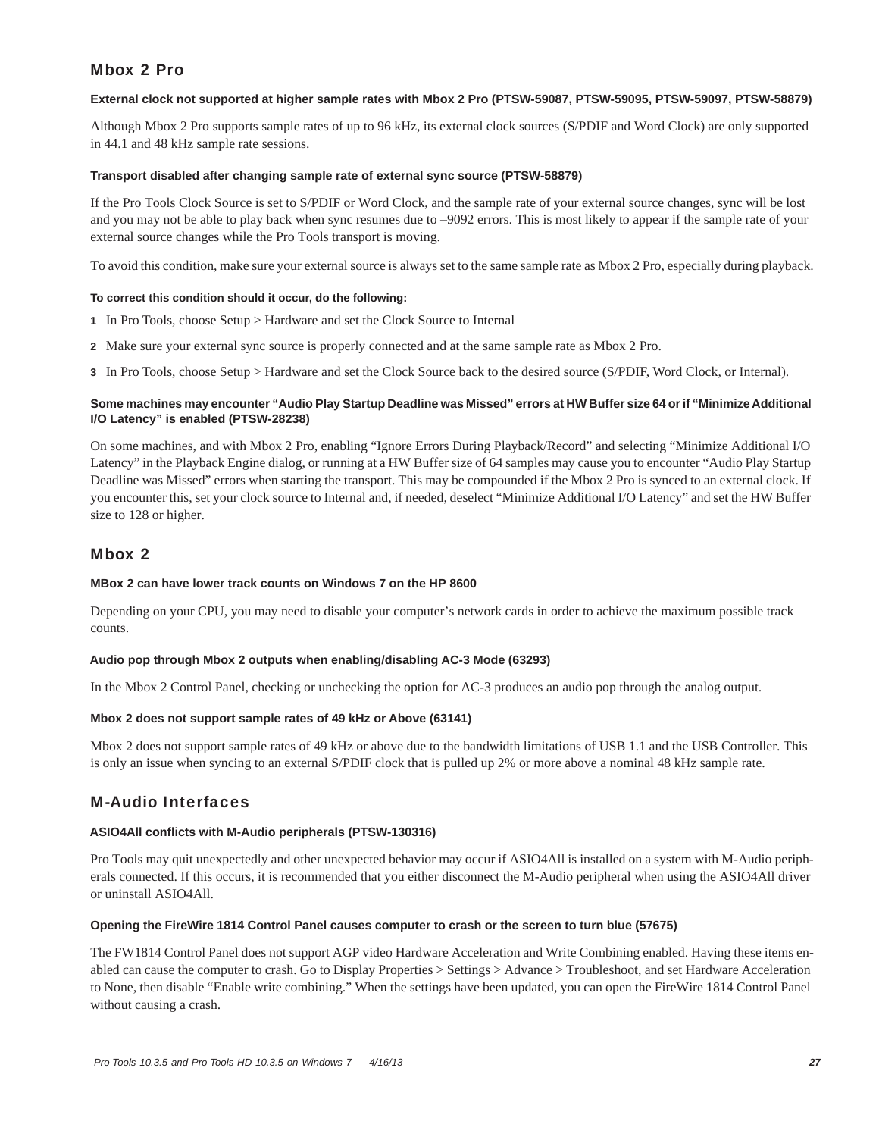# Mbox 2 Pro

### **External clock not supported at higher sample rates with Mbox 2 Pro (PTSW-59087, PTSW-59095, PTSW-59097, PTSW-58879)**

Although Mbox 2 Pro supports sample rates of up to 96 kHz, its external clock sources (S/PDIF and Word Clock) are only supported in 44.1 and 48 kHz sample rate sessions.

### **Transport disabled after changing sample rate of external sync source (PTSW-58879)**

If the Pro Tools Clock Source is set to S/PDIF or Word Clock, and the sample rate of your external source changes, sync will be lost and you may not be able to play back when sync resumes due to –9092 errors. This is most likely to appear if the sample rate of your external source changes while the Pro Tools transport is moving.

To avoid this condition, make sure your external source is always set to the same sample rate as Mbox 2 Pro, especially during playback.

### **To correct this condition should it occur, do the following:**

- **1** In Pro Tools, choose Setup > Hardware and set the Clock Source to Internal
- **2** Make sure your external sync source is properly connected and at the same sample rate as Mbox 2 Pro.
- **3** In Pro Tools, choose Setup > Hardware and set the Clock Source back to the desired source (S/PDIF, Word Clock, or Internal).

### **Some machines may encounter "Audio Play Startup Deadline was Missed" errors at HW Buffer size 64 or if "Minimize Additional I/O Latency" is enabled (PTSW-28238)**

On some machines, and with Mbox 2 Pro, enabling "Ignore Errors During Playback/Record" and selecting "Minimize Additional I/O Latency" in the Playback Engine dialog, or running at a HW Buffer size of 64 samples may cause you to encounter "Audio Play Startup Deadline was Missed" errors when starting the transport. This may be compounded if the Mbox 2 Pro is synced to an external clock. If you encounter this, set your clock source to Internal and, if needed, deselect "Minimize Additional I/O Latency" and set the HW Buffer size to 128 or higher.

# Mbox 2

### **MBox 2 can have lower track counts on Windows 7 on the HP 8600**

Depending on your CPU, you may need to disable your computer's network cards in order to achieve the maximum possible track counts.

#### **Audio pop through Mbox 2 outputs when enabling/disabling AC-3 Mode (63293)**

In the Mbox 2 Control Panel, checking or unchecking the option for AC-3 produces an audio pop through the analog output.

### **Mbox 2 does not support sample rates of 49 kHz or Above (63141)**

Mbox 2 does not support sample rates of 49 kHz or above due to the bandwidth limitations of USB 1.1 and the USB Controller. This is only an issue when syncing to an external S/PDIF clock that is pulled up 2% or more above a nominal 48 kHz sample rate.

### M-Audio Interfaces

#### **ASIO4All conflicts with M-Audio peripherals (PTSW-130316)**

Pro Tools may quit unexpectedly and other unexpected behavior may occur if ASIO4All is installed on a system with M-Audio peripherals connected. If this occurs, it is recommended that you either disconnect the M-Audio peripheral when using the ASIO4All driver or uninstall ASIO4All.

### **Opening the FireWire 1814 Control Panel causes computer to crash or the screen to turn blue (57675)**

The FW1814 Control Panel does not support AGP video Hardware Acceleration and Write Combining enabled. Having these items enabled can cause the computer to crash. Go to Display Properties > Settings > Advance > Troubleshoot, and set Hardware Acceleration to None, then disable "Enable write combining." When the settings have been updated, you can open the FireWire 1814 Control Panel without causing a crash.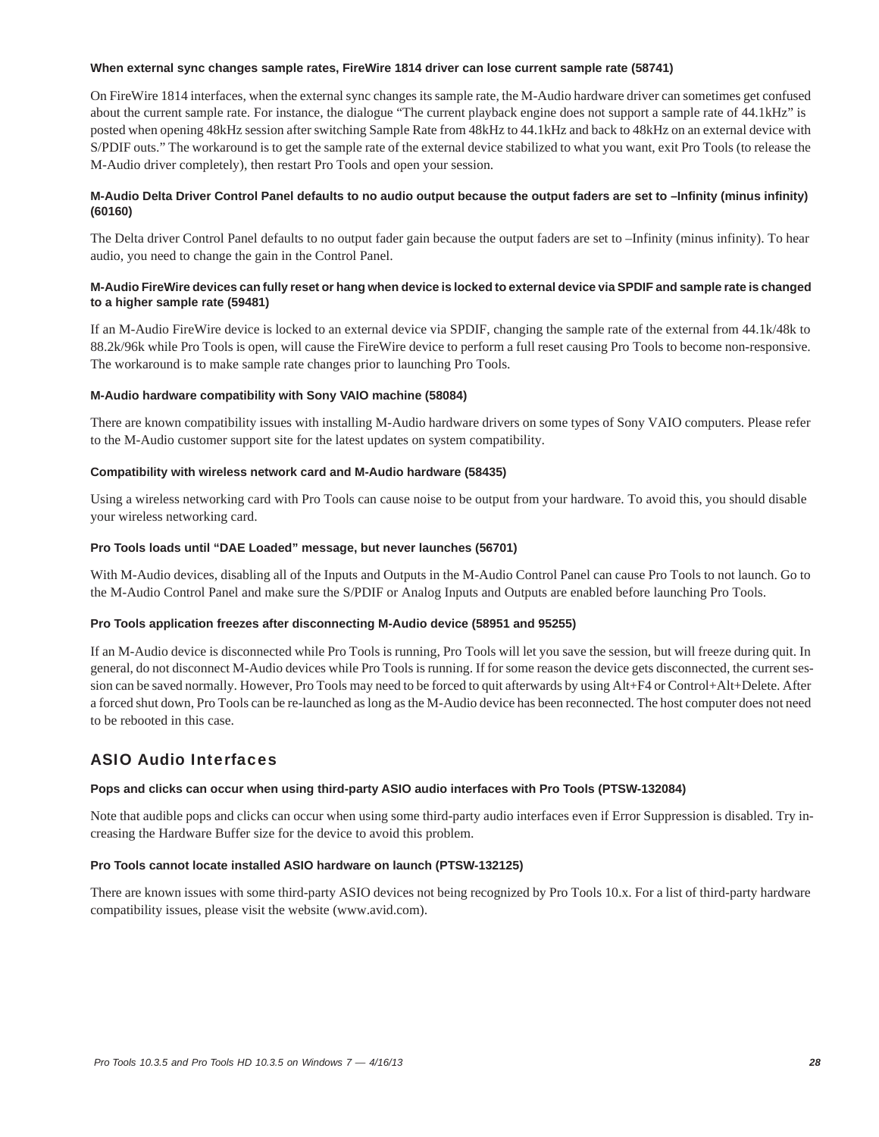### **When external sync changes sample rates, FireWire 1814 driver can lose current sample rate (58741)**

On FireWire 1814 interfaces, when the external sync changes its sample rate, the M-Audio hardware driver can sometimes get confused about the current sample rate. For instance, the dialogue "The current playback engine does not support a sample rate of 44.1kHz" is posted when opening 48kHz session after switching Sample Rate from 48kHz to 44.1kHz and back to 48kHz on an external device with S/PDIF outs." The workaround is to get the sample rate of the external device stabilized to what you want, exit Pro Tools (to release the M-Audio driver completely), then restart Pro Tools and open your session.

### **M-Audio Delta Driver Control Panel defaults to no audio output because the output faders are set to –Infinity (minus infinity) (60160)**

The Delta driver Control Panel defaults to no output fader gain because the output faders are set to –Infinity (minus infinity). To hear audio, you need to change the gain in the Control Panel.

### **M-Audio FireWire devices can fully reset or hang when device is locked to external device via SPDIF and sample rate is changed to a higher sample rate (59481)**

If an M-Audio FireWire device is locked to an external device via SPDIF, changing the sample rate of the external from 44.1k/48k to 88.2k/96k while Pro Tools is open, will cause the FireWire device to perform a full reset causing Pro Tools to become non-responsive. The workaround is to make sample rate changes prior to launching Pro Tools.

### **M-Audio hardware compatibility with Sony VAIO machine (58084)**

There are known compatibility issues with installing M-Audio hardware drivers on some types of Sony VAIO computers. Please refer to the M-Audio customer support site for the latest updates on system compatibility.

### **Compatibility with wireless network card and M-Audio hardware (58435)**

Using a wireless networking card with Pro Tools can cause noise to be output from your hardware. To avoid this, you should disable your wireless networking card.

### **Pro Tools loads until "DAE Loaded" message, but never launches (56701)**

With M-Audio devices, disabling all of the Inputs and Outputs in the M-Audio Control Panel can cause Pro Tools to not launch. Go to the M-Audio Control Panel and make sure the S/PDIF or Analog Inputs and Outputs are enabled before launching Pro Tools.

### **Pro Tools application freezes after disconnecting M-Audio device (58951 and 95255)**

If an M-Audio device is disconnected while Pro Tools is running, Pro Tools will let you save the session, but will freeze during quit. In general, do not disconnect M-Audio devices while Pro Tools is running. If for some reason the device gets disconnected, the current session can be saved normally. However, Pro Tools may need to be forced to quit afterwards by using Alt+F4 or Control+Alt+Delete. After a forced shut down, Pro Tools can be re-launched as long as the M-Audio device has been reconnected. The host computer does not need to be rebooted in this case.

## ASIO Audio Interfaces

### **Pops and clicks can occur when using third-party ASIO audio interfaces with Pro Tools (PTSW-132084)**

Note that audible pops and clicks can occur when using some third-party audio interfaces even if Error Suppression is disabled. Try increasing the Hardware Buffer size for the device to avoid this problem.

#### **Pro Tools cannot locate installed ASIO hardware on launch (PTSW-132125)**

There are known issues with some third-party ASIO devices not being recognized by Pro Tools 10.x. For a list of third-party hardware compatibility issues, please visit the website (www.avid.com).